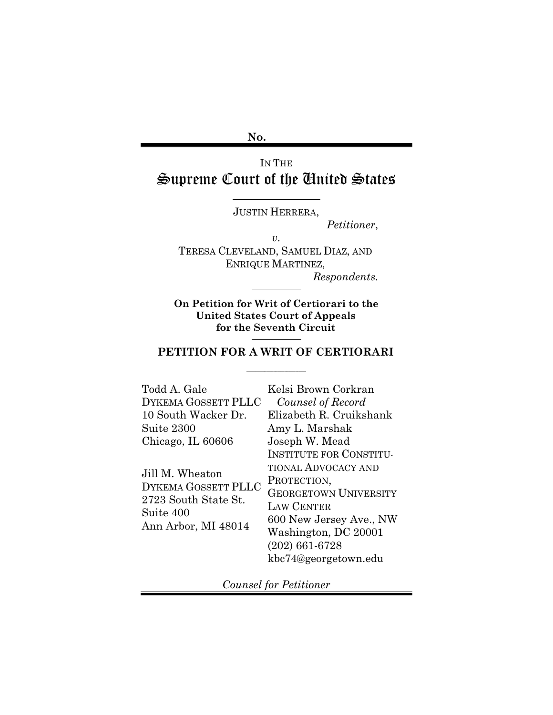**No.**

 $\ddot{\phantom{a}}$ 

# IN THE Supreme Court of the United States

JUSTIN HERRERA,

*Petitioner*,

*v.*

TERESA CLEVELAND, SAMUEL DIAZ, AND ENRIQUE MARTINEZ, *Respondents.*

 $\overline{\phantom{a}}$ 

**On Petition for Writ of Certiorari to the United States Court of Appeals for the Seventh Circuit** $\overline{\phantom{a}}$ 

### **PETITION FOR A WRIT OF CERTIORARI**

\_\_\_\_\_\_\_\_\_\_\_\_\_\_\_\_\_\_\_\_\_\_\_\_\_\_\_\_\_\_\_\_\_

| Todd A. Gale         | Kelsi Brown Corkran            |
|----------------------|--------------------------------|
| DYKEMA GOSSETT PLLC  | Counsel of Record              |
| 10 South Wacker Dr.  | Elizabeth R. Cruikshank        |
| Suite 2300           | Amy L. Marshak                 |
| Chicago, IL 60606    | Joseph W. Mead                 |
|                      | <b>INSTITUTE FOR CONSTITU-</b> |
| Jill M. Wheaton      | <b>TIONAL ADVOCACY AND</b>     |
| DYKEMA GOSSETT PLLC  | PROTECTION,                    |
| 2723 South State St. | <b>GEORGETOWN UNIVERSITY</b>   |
| Suite 400            | <b>LAW CENTER</b>              |
| Ann Arbor, MI 48014  | 600 New Jersey Ave., NW        |
|                      | Washington, DC 20001           |
|                      | $(202)$ 661-6728               |
|                      | kbc74@georgetown.edu           |
|                      |                                |

*Counsel for Petitioner*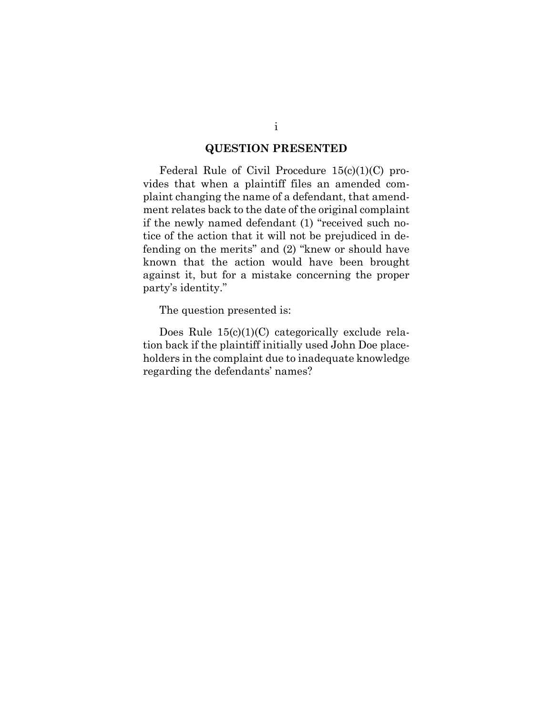### **QUESTION PRESENTED**

<span id="page-1-0"></span>Federal Rule of Civil Procedure 15(c)(1)(C) provides that when a plaintiff files an amended complaint changing the name of a defendant, that amendment relates back to the date of the original complaint if the newly named defendant (1) "received such notice of the action that it will not be prejudiced in defending on the merits" and (2) "knew or should have known that the action would have been brought against it, but for a mistake concerning the proper party's identity."

The question presented is:

Does Rule 15(c)(1)(C) categorically exclude relation back if the plaintiff initially used John Doe placeholders in the complaint due to inadequate knowledge regarding the defendants' names?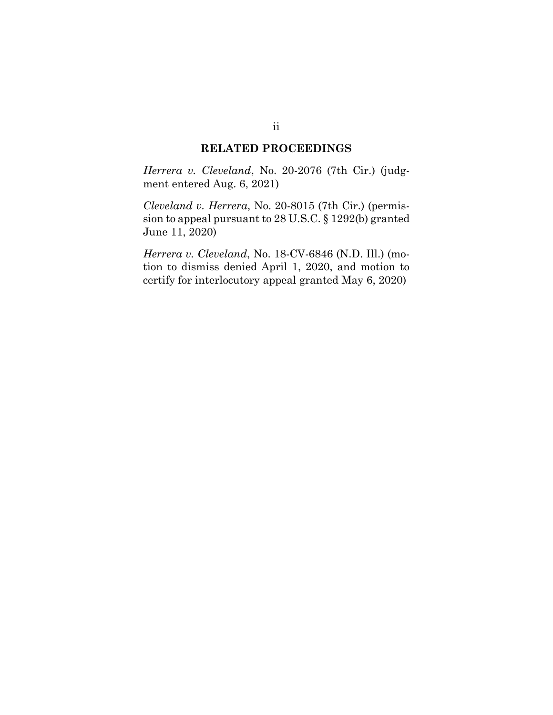#### **RELATED PROCEEDINGS**

*Herrera v. Cleveland*, No. 20-2076 (7th Cir.) (judgment entered Aug. 6, 2021)

*Cleveland v. Herrera*, No. 20-8015 (7th Cir.) (permission to appeal pursuant to 28 U.S.C. § 1292(b) granted June 11, 2020)

*Herrera v. Cleveland*, No. 18-CV-6846 (N.D. Ill.) (motion to dismiss denied April 1, 2020, and motion to certify for interlocutory appeal granted May 6, 2020)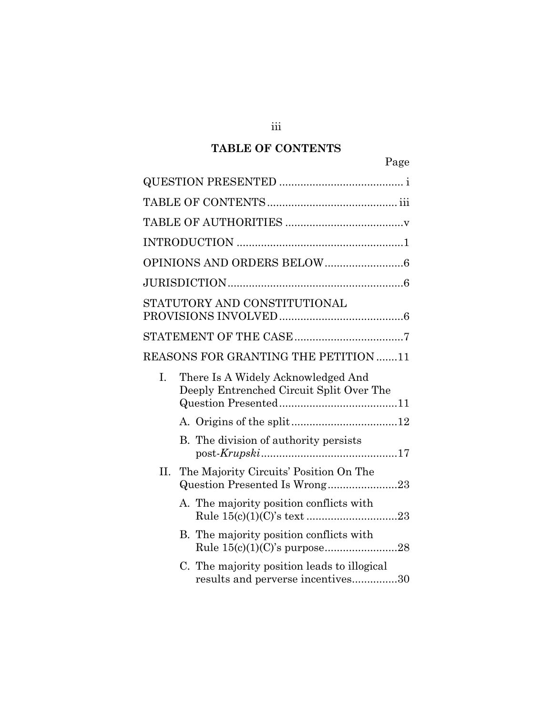# **TABLE OF CONTENTS**

<span id="page-3-0"></span>

|     | Page                                                                             |  |  |  |
|-----|----------------------------------------------------------------------------------|--|--|--|
|     |                                                                                  |  |  |  |
|     |                                                                                  |  |  |  |
|     |                                                                                  |  |  |  |
|     |                                                                                  |  |  |  |
|     |                                                                                  |  |  |  |
|     |                                                                                  |  |  |  |
|     | STATUTORY AND CONSTITUTIONAL                                                     |  |  |  |
|     |                                                                                  |  |  |  |
|     | <b>REASONS FOR GRANTING THE PETITION 11</b>                                      |  |  |  |
| I.  | There Is A Widely Acknowledged And<br>Deeply Entrenched Circuit Split Over The   |  |  |  |
|     |                                                                                  |  |  |  |
|     | B. The division of authority persists                                            |  |  |  |
| II. | The Majority Circuits' Position On The                                           |  |  |  |
|     | A. The majority position conflicts with                                          |  |  |  |
|     | B. The majority position conflicts with                                          |  |  |  |
|     | C. The majority position leads to illogical<br>results and perverse incentives30 |  |  |  |

iii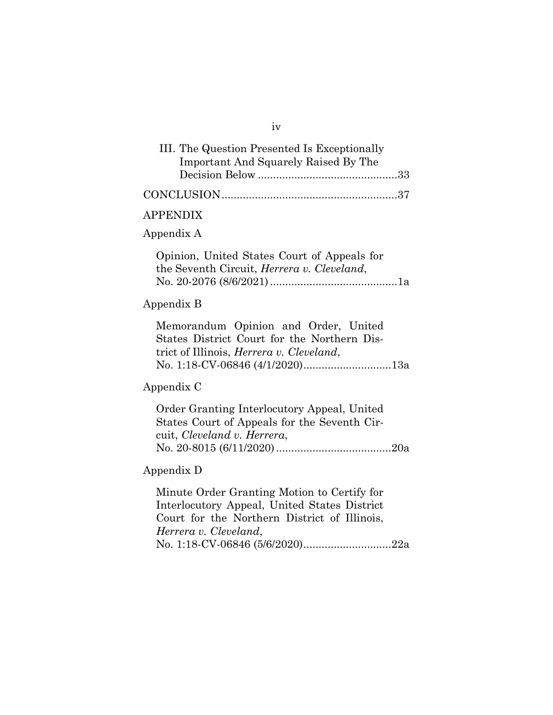| III. The Question Presented Is Exceptionally |  |
|----------------------------------------------|--|
| <b>Important And Squarely Raised By The</b>  |  |
|                                              |  |
|                                              |  |

#### APPENDIX

#### Appendix A

Opinion, United States Court of Appeals for the Seventh Circuit, *Herrera v. Cleveland*, No. 20-2076 (8/6/2021)..........................................1a

#### Appendix B

Memorandum Opinion and Order, United States District Court for the Northern District of Illinois, *Herrera v. Cleveland*, No. 1:18-CV-06846 (4/1/2020) .............................13a

### Appendix C

Order Granting Interlocutory Appeal, United States Court of Appeals for the Seventh Circuit, *Cleveland v. Herrera*, No. 20-8015 (6/11/2020) ......................................20a

#### Appendix D

Minute Order Granting Motion to Certify for Interlocutory Appeal, United States District Court for the Northern District of Illinois, *Herrera v. Cleveland*, No. 1:18-CV-06846 (5/6/2020).............................22a

#### iv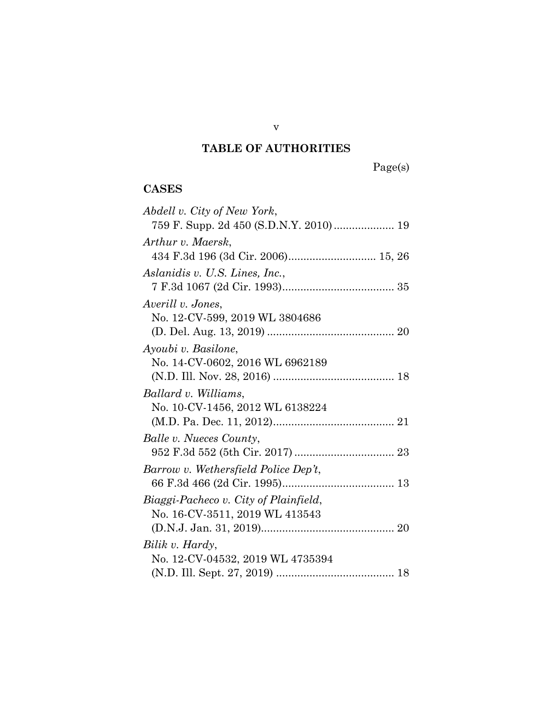# **TABLE OF AUTHORITIES**

Page(s)

## <span id="page-5-0"></span>**CASES**

| Abdell v. City of New York,            |
|----------------------------------------|
| 759 F. Supp. 2d 450 (S.D.N.Y. 2010) 19 |
| Arthur v. Maersk,                      |
| 434 F.3d 196 (3d Cir. 2006) 15, 26     |
| Aslanidis v. U.S. Lines, Inc.,         |
|                                        |
| Averill v. Jones,                      |
| No. 12-CV-599, 2019 WL 3804686         |
|                                        |
| Ayoubi v. Basilone,                    |
| No. 14-CV-0602, 2016 WL 6962189        |
|                                        |
| Ballard v. Williams,                   |
| No. 10-CV-1456, 2012 WL 6138224        |
|                                        |
| Balle v. Nueces County,                |
|                                        |
| Barrow v. Wethersfield Police Dep't,   |
|                                        |
| Biaggi-Pacheco v. City of Plainfield,  |
| No. 16-CV-3511, 2019 WL 413543         |
|                                        |
| Bilik v. Hardy,                        |
| No. 12-CV-04532, 2019 WL 4735394       |
|                                        |

v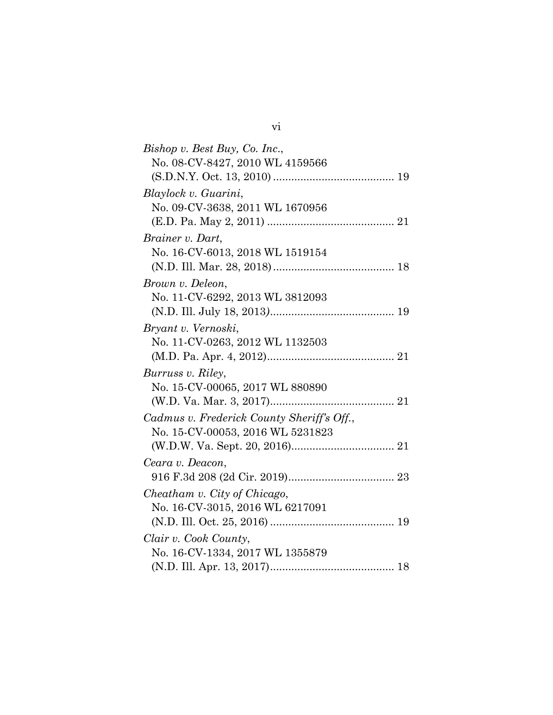| Bishop v. Best Buy, Co. Inc.,              |
|--------------------------------------------|
| No. 08-CV-8427, 2010 WL 4159566            |
|                                            |
| Blaylock v. Guarini,                       |
| No. 09-CV-3638, 2011 WL 1670956            |
|                                            |
| Brainer v. Dart,                           |
| No. 16-CV-6013, 2018 WL 1519154            |
|                                            |
| Brown v. Deleon,                           |
| No. 11-CV-6292, 2013 WL 3812093            |
|                                            |
| Bryant v. Vernoski,                        |
| No. 11-CV-0263, 2012 WL 1132503            |
|                                            |
| Burruss v. Riley,                          |
| No. 15-CV-00065, 2017 WL 880890            |
|                                            |
| Cadmus v. Frederick County Sheriff's Off., |
| No. 15-CV-00053, 2016 WL 5231823           |
|                                            |
| Ceara v. Deacon,                           |
|                                            |
| Cheatham v. City of Chicago,               |
| No. 16-CV-3015, 2016 WL 6217091            |
|                                            |
| Clair v. Cook County,                      |
| No. 16-CV-1334, 2017 WL 1355879            |
|                                            |

vi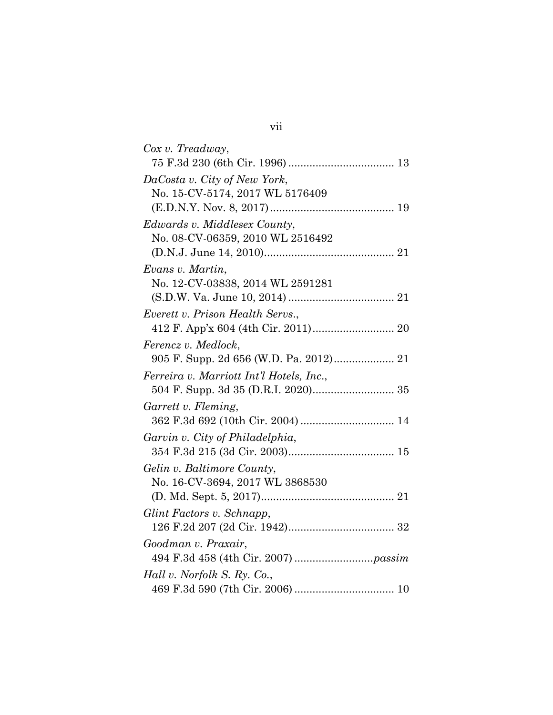| Cox v. Treadway,                         |
|------------------------------------------|
|                                          |
| DaCosta v. City of New York,             |
| No. 15-CV-5174, 2017 WL 5176409          |
|                                          |
| Edwards v. Middlesex County,             |
| No. 08-CV-06359, 2010 WL 2516492         |
|                                          |
| Evans v. Martin,                         |
| No. 12-CV-03838, 2014 WL 2591281         |
|                                          |
| Everett v. Prison Health Servs.,         |
|                                          |
| Ferencz v. Medlock,                      |
|                                          |
| Ferreira v. Marriott Int'l Hotels, Inc., |
|                                          |
| Garrett v. Fleming,                      |
| 362 F.3d 692 (10th Cir. 2004)  14        |
| Garvin v. City of Philadelphia,          |
|                                          |
| Gelin v. Baltimore County,               |
| No. 16-CV-3694, 2017 WL 3868530          |
|                                          |
| Glint Factors v. Schnapp,                |
|                                          |
| Goodman v. Praxair,                      |
|                                          |
| Hall v. Norfolk S. Ry. Co.,              |
|                                          |

# vii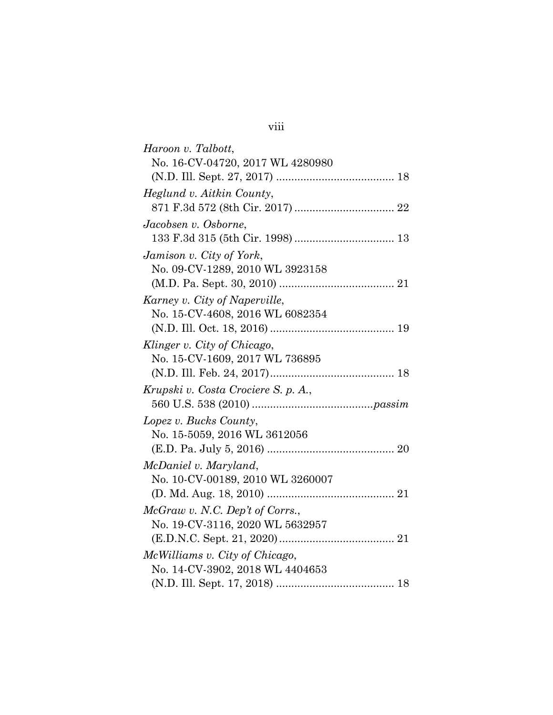| Haroon v. Talbott,                  |
|-------------------------------------|
| No. 16-CV-04720, 2017 WL 4280980    |
|                                     |
| Heglund v. Aitkin County,           |
|                                     |
| Jacobsen v. Osborne,                |
|                                     |
| Jamison v. City of York,            |
| No. 09-CV-1289, 2010 WL 3923158     |
|                                     |
| Karney v. City of Naperville,       |
| No. 15-CV-4608, 2016 WL 6082354     |
|                                     |
| Klinger v. City of Chicago,         |
| No. 15-CV-1609, 2017 WL 736895      |
|                                     |
| Krupski v. Costa Crociere S. p. A., |
|                                     |
| Lopez v. Bucks County,              |
| No. 15-5059, 2016 WL 3612056        |
|                                     |
| McDaniel v. Maryland,               |
| No. 10-CV-00189, 2010 WL 3260007    |
|                                     |
| McGraw v. N.C. Dep't of Corrs.,     |
| No. 19-CV-3116, 2020 WL 5632957     |
|                                     |
| McWilliams v. City of Chicago,      |
| No. 14-CV-3902, 2018 WL 4404653     |
|                                     |

viii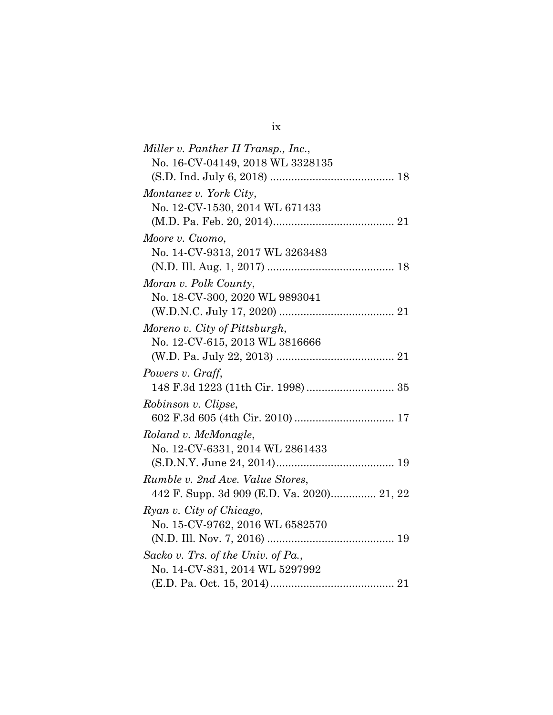| Miller v. Panther II Transp., Inc.,        |
|--------------------------------------------|
| No. 16-CV-04149, 2018 WL 3328135           |
|                                            |
| Montanez v. York City,                     |
| No. 12-CV-1530, 2014 WL 671433             |
|                                            |
| Moore v. Cuomo,                            |
| No. 14-CV-9313, 2017 WL 3263483            |
|                                            |
| Moran v. Polk County,                      |
| No. 18-CV-300, 2020 WL 9893041             |
|                                            |
| Moreno v. City of Pittsburgh,              |
| No. 12-CV-615, 2013 WL 3816666             |
|                                            |
|                                            |
| Powers v. Graff,                           |
|                                            |
| Robinson v. Clipse,                        |
|                                            |
| Roland v. McMonagle,                       |
| No. 12-CV-6331, 2014 WL 2861433            |
|                                            |
| Rumble v. 2nd Ave. Value Stores,           |
| 442 F. Supp. 3d 909 (E.D. Va. 2020) 21, 22 |
| Ryan v. City of Chicago,                   |
| No. 15-CV-9762, 2016 WL 6582570            |
|                                            |
| Sacko v. Trs. of the Univ. of Pa.,         |
| No. 14-CV-831, 2014 WL 5297992             |

ix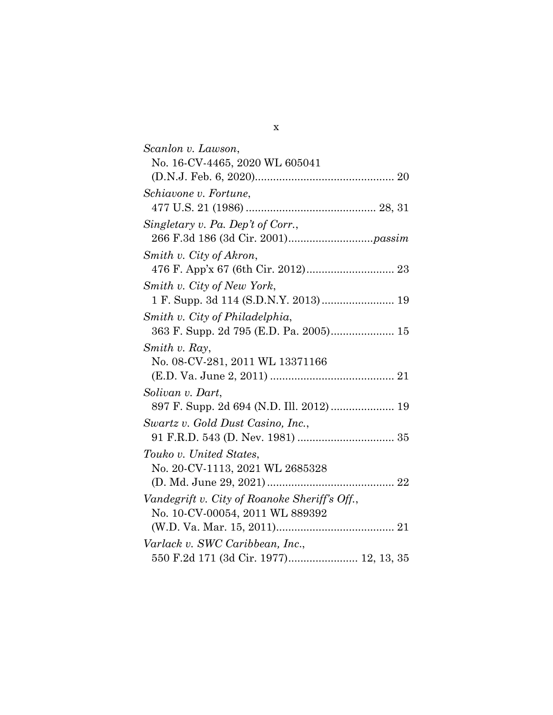| Scanlon v. Lawson,                            |
|-----------------------------------------------|
| No. 16-CV-4465, 2020 WL 605041                |
|                                               |
| Schiavone v. Fortune,                         |
|                                               |
| Singletary v. Pa. Dep't of Corr.,             |
|                                               |
|                                               |
| Smith v. City of Akron,                       |
|                                               |
| Smith v. City of New York,                    |
|                                               |
| Smith v. City of Philadelphia,                |
|                                               |
| Smith v. Ray,                                 |
| No. 08-CV-281, 2011 WL 13371166               |
|                                               |
| Solivan v. Dart,                              |
| 897 F. Supp. 2d 694 (N.D. Ill. 2012)  19      |
| Swartz v. Gold Dust Casino, Inc.,             |
|                                               |
|                                               |
| Touko v. United States,                       |
| No. 20-CV-1113, 2021 WL 2685328               |
|                                               |
| Vandegrift v. City of Roanoke Sheriff's Off., |
| No. 10-CV-00054, 2011 WL 889392               |
|                                               |
| Varlack v. SWC Caribbean, Inc.,               |
| 550 F.2d 171 (3d Cir. 1977) 12, 13, 35        |
|                                               |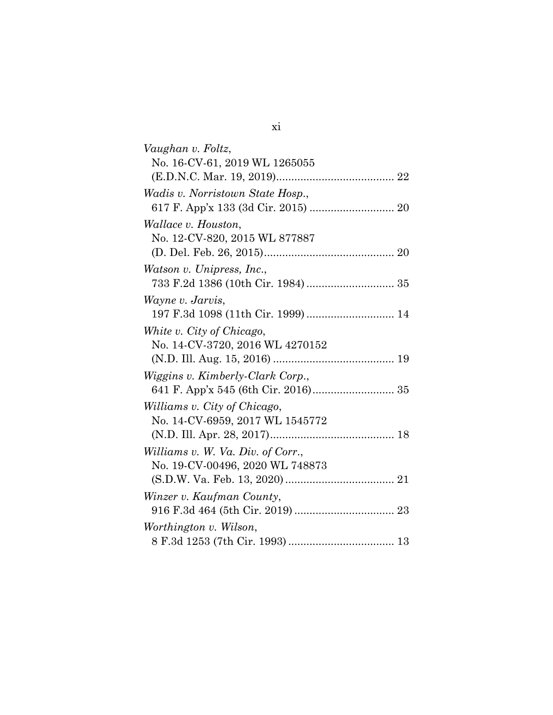| Vaughan v. Foltz,                  |
|------------------------------------|
| No. 16-CV-61, 2019 WL 1265055      |
|                                    |
| Wadis v. Norristown State Hosp.,   |
|                                    |
| Wallace v. Houston,                |
| No. 12-CV-820, 2015 WL 877887      |
|                                    |
| Watson v. Unipress, Inc.,          |
|                                    |
| Wayne v. Jarvis,                   |
| 197 F.3d 1098 (11th Cir. 1999)  14 |
| White v. City of Chicago,          |
| No. 14-CV-3720, 2016 WL 4270152    |
|                                    |
| Wiggins v. Kimberly-Clark Corp.,   |
|                                    |
| Williams v. City of Chicago,       |
| No. 14-CV-6959, 2017 WL 1545772    |
|                                    |
| Williams v. W. Va. Div. of Corr.,  |
| No. 19-CV-00496, 2020 WL 748873    |
|                                    |
| Winzer v. Kaufman County,          |
|                                    |
| Worthington v. Wilson,             |
|                                    |

| m. |  |
|----|--|
| ٩  |  |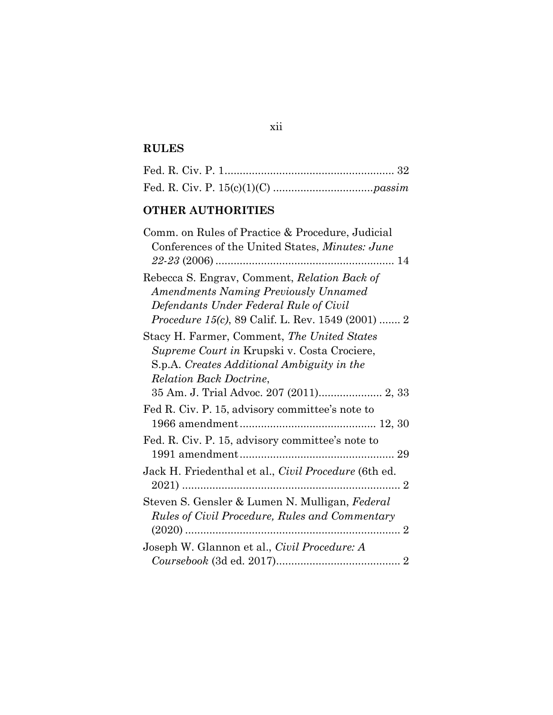## **RULES**

## **OTHER AUTHORITIES**

| Comm. on Rules of Practice & Procedure, Judicial<br>Conferences of the United States, Minutes: June                                                                        |
|----------------------------------------------------------------------------------------------------------------------------------------------------------------------------|
|                                                                                                                                                                            |
| Rebecca S. Engrav, Comment, Relation Back of<br><b>Amendments Naming Previously Unnamed</b>                                                                                |
| Defendants Under Federal Rule of Civil<br><i>Procedure 15(c)</i> , 89 Calif. L. Rev. 1549 (2001)  2                                                                        |
| Stacy H. Farmer, Comment, The United States<br>Supreme Court in Krupski v. Costa Crociere,<br>S.p.A. Creates Additional Ambiguity in the<br><b>Relation Back Doctrine,</b> |
|                                                                                                                                                                            |
| Fed R. Civ. P. 15, advisory committee's note to                                                                                                                            |
| Fed. R. Civ. P. 15, advisory committee's note to                                                                                                                           |
| Jack H. Friedenthal et al., <i>Civil Procedure</i> (6th ed.                                                                                                                |
| Steven S. Gensler & Lumen N. Mulligan, Federal<br><b>Rules of Civil Procedure, Rules and Commentary</b><br>$(2020)$<br>. 2                                                 |
| Joseph W. Glannon et al., Civil Procedure: A                                                                                                                               |
|                                                                                                                                                                            |

# xii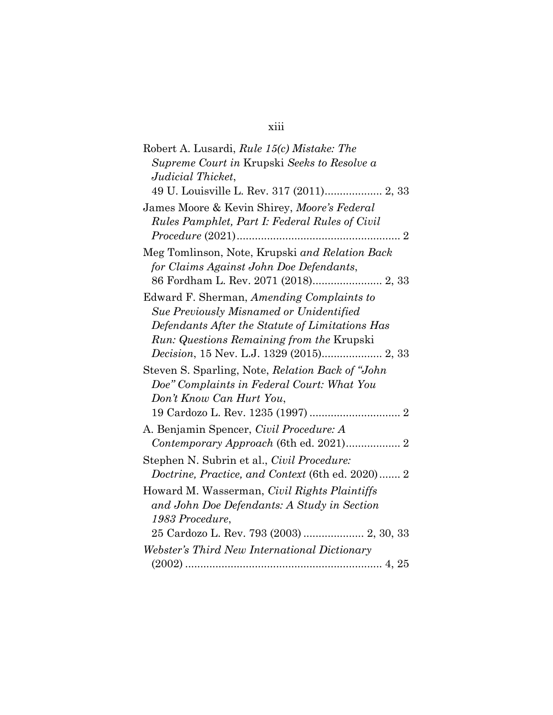# xiii

| Robert A. Lusardi, <i>Rule 15(c) Mistake: The</i>  |
|----------------------------------------------------|
| Supreme Court in Krupski Seeks to Resolve a        |
| Judicial Thicket,                                  |
|                                                    |
| James Moore & Kevin Shirey, Moore's Federal        |
| Rules Pamphlet, Part I: Federal Rules of Civil     |
|                                                    |
| Meg Tomlinson, Note, Krupski and Relation Back     |
| for Claims Against John Doe Defendants,            |
| 86 Fordham L. Rev. 2071 (2018) 2, 33               |
| Edward F. Sherman, Amending Complaints to          |
| Sue Previously Misnamed or Unidentified            |
| Defendants After the Statute of Limitations Has    |
| <i>Run: Questions Remaining from the Krupski</i>   |
| Decision, 15 Nev. L.J. 1329 (2015) 2, 33           |
| Steven S. Sparling, Note, Relation Back of "John"  |
| Doe" Complaints in Federal Court: What You         |
| Don't Know Can Hurt You,                           |
|                                                    |
| A. Benjamin Spencer, Civil Procedure: A            |
| Contemporary Approach (6th ed. 2021) 2             |
| Stephen N. Subrin et al., <i>Civil Procedure</i> : |
| Doctrine, Practice, and Context (6th ed. 2020) 2   |
| Howard M. Wasserman, Civil Rights Plaintiffs       |
| and John Doe Defendants: A Study in Section        |
| 1983 Procedure,                                    |
| 25 Cardozo L. Rev. 793 (2003)  2, 30, 33           |
| Webster's Third New International Dictionary       |
|                                                    |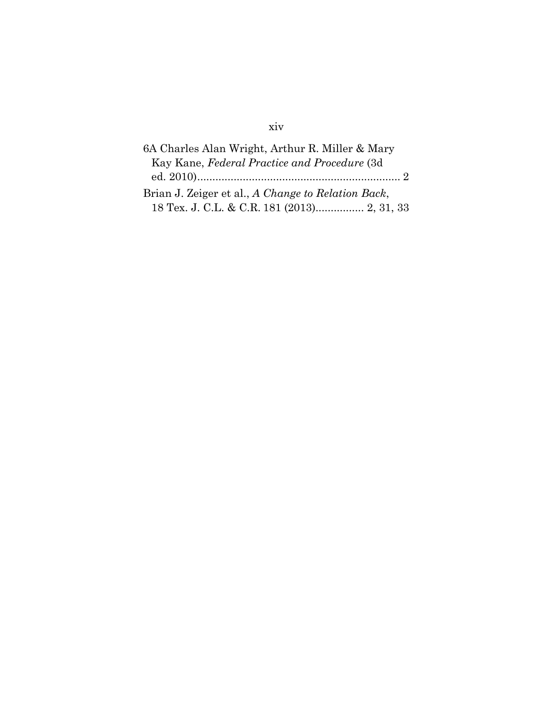# xiv

| 6A Charles Alan Wright, Arthur R. Miller & Mary    |
|----------------------------------------------------|
| Kay Kane, Federal Practice and Procedure (3d       |
|                                                    |
| Brian J. Zeiger et al., A Change to Relation Back, |
| 18 Tex. J. C.L. & C.R. 181 (2013) 2, 31, 33        |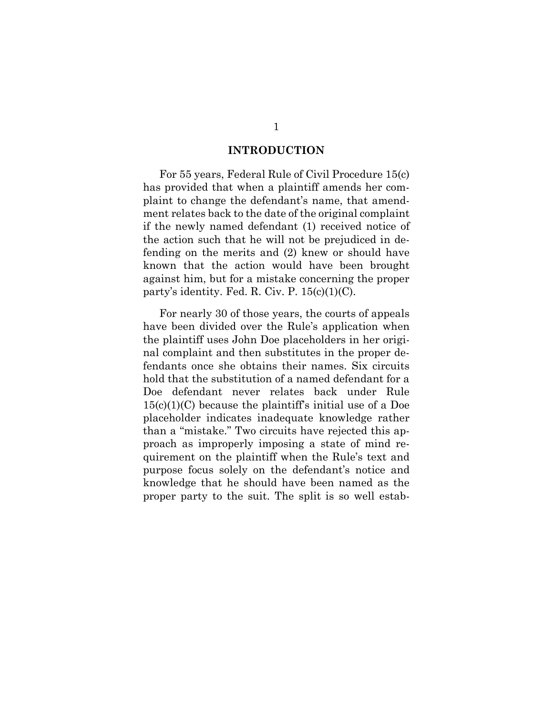#### **INTRODUCTION**

<span id="page-15-0"></span>For 55 years, Federal Rule of Civil Procedure 15(c) has provided that when a plaintiff amends her complaint to change the defendant's name, that amendment relates back to the date of the original complaint if the newly named defendant (1) received notice of the action such that he will not be prejudiced in defending on the merits and (2) knew or should have known that the action would have been brought against him, but for a mistake concerning the proper party's identity. Fed. R. Civ. P.  $15(c)(1)(C)$ .

For nearly 30 of those years, the courts of appeals have been divided over the Rule's application when the plaintiff uses John Doe placeholders in her original complaint and then substitutes in the proper defendants once she obtains their names. Six circuits hold that the substitution of a named defendant for a Doe defendant never relates back under Rule  $15(c)(1)(C)$  because the plaintiff's initial use of a Doe placeholder indicates inadequate knowledge rather than a "mistake." Two circuits have rejected this approach as improperly imposing a state of mind requirement on the plaintiff when the Rule's text and purpose focus solely on the defendant's notice and knowledge that he should have been named as the proper party to the suit. The split is so well estab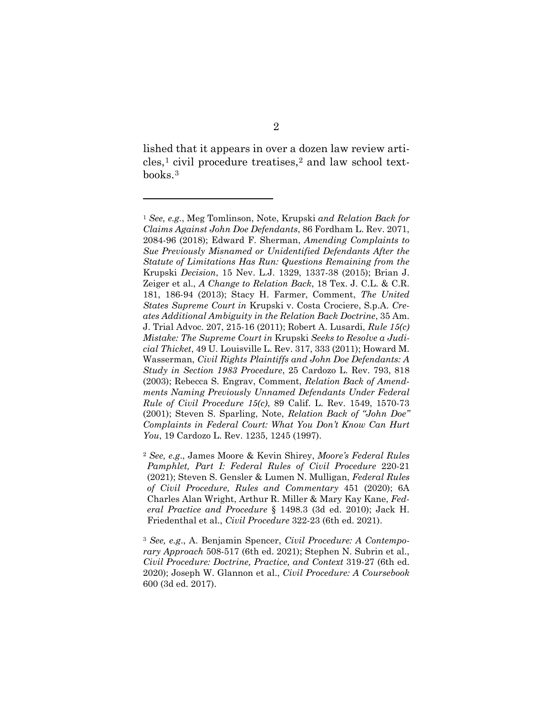lished that it appears in over a dozen law review articles,[1](#page-16-0) civil procedure treatises,[2](#page-16-1) and law school textbooks.[3](#page-16-2)

<span id="page-16-0"></span><sup>1</sup> *See, e.g.*, Meg Tomlinson, Note, Krupski *and Relation Back for Claims Against John Doe Defendants*, 86 Fordham L. Rev. 2071, 2084-96 (2018); Edward F. Sherman, *Amending Complaints to Sue Previously Misnamed or Unidentified Defendants After the Statute of Limitations Has Run: Questions Remaining from the*  Krupski *Decision*, 15 Nev. L.J. 1329, 1337-38 (2015); Brian J. Zeiger et al., *A Change to Relation Back*, 18 Tex. J. C.L. & C.R. 181, 186-94 (2013); Stacy H. Farmer, Comment, *The United States Supreme Court in* Krupski v. Costa Crociere, S.p.A. *Creates Additional Ambiguity in the Relation Back Doctrine*, 35 Am. J. Trial Advoc. 207, 215-16 (2011); Robert A. Lusardi, *Rule 15(c) Mistake: The Supreme Court in* Krupski *Seeks to Resolve a Judicial Thicket*, 49 U. Louisville L. Rev. 317, 333 (2011); Howard M. Wasserman, *Civil Rights Plaintiffs and John Doe Defendants: A Study in Section 1983 Procedure*, 25 Cardozo L. Rev. 793, 818 (2003); Rebecca S. Engrav, Comment, *Relation Back of Amendments Naming Previously Unnamed Defendants Under Federal Rule of Civil Procedure 15(c)*, 89 Calif. L. Rev. 1549, 1570-73 (2001); Steven S. Sparling, Note, *Relation Back of "John Doe" Complaints in Federal Court: What You Don't Know Can Hurt You*, 19 Cardozo L. Rev. 1235, 1245 (1997).

<span id="page-16-1"></span><sup>2</sup> *See, e.g*., James Moore & Kevin Shirey, *Moore's Federal Rules Pamphlet, Part I: Federal Rules of Civil Procedure* 220-21 (2021); Steven S. Gensler & Lumen N. Mulligan, *Federal Rules of Civil Procedure, Rules and Commentary* 451 (2020); 6A Charles Alan Wright, Arthur R. Miller & Mary Kay Kane, *Federal Practice and Procedure* § 1498.3 (3d ed. 2010); Jack H. Friedenthal et al., *Civil Procedure* 322-23 (6th ed. 2021).

<span id="page-16-2"></span><sup>3</sup> *See, e.g*., A. Benjamin Spencer, *Civil Procedure: A Contemporary Approach* 508-517 (6th ed. 2021); Stephen N. Subrin et al., *Civil Procedure: Doctrine, Practice, and Context* 319-27 (6th ed. 2020); Joseph W. Glannon et al., *Civil Procedure: A Coursebook* 600 (3d ed. 2017).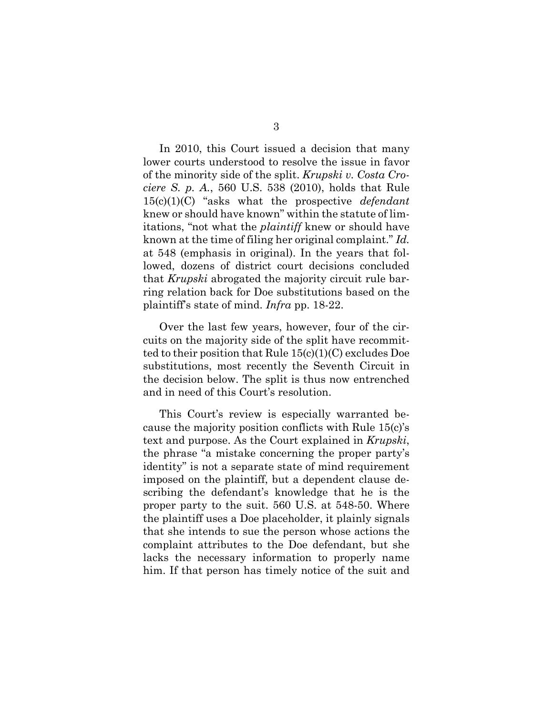In 2010, this Court issued a decision that many lower courts understood to resolve the issue in favor of the minority side of the split. *Krupski v. Costa Crociere S. p. A.*, 560 U.S. 538 (2010), holds that Rule 15(c)(1)(C) "asks what the prospective *defendant* knew or should have known" within the statute of limitations, "not what the *plaintiff* knew or should have known at the time of filing her original complaint." *Id.* at 548 (emphasis in original). In the years that followed, dozens of district court decisions concluded that *Krupski* abrogated the majority circuit rule barring relation back for Doe substitutions based on the plaintiff's state of mind. *Infra* pp. 18-22.

Over the last few years, however, four of the circuits on the majority side of the split have recommitted to their position that Rule 15(c)(1)(C) excludes Doe substitutions, most recently the Seventh Circuit in the decision below. The split is thus now entrenched and in need of this Court's resolution.

This Court's review is especially warranted because the majority position conflicts with Rule 15(c)'s text and purpose. As the Court explained in *Krupski*, the phrase "a mistake concerning the proper party's identity" is not a separate state of mind requirement imposed on the plaintiff, but a dependent clause describing the defendant's knowledge that he is the proper party to the suit. 560 U.S. at 548-50. Where the plaintiff uses a Doe placeholder, it plainly signals that she intends to sue the person whose actions the complaint attributes to the Doe defendant, but she lacks the necessary information to properly name him. If that person has timely notice of the suit and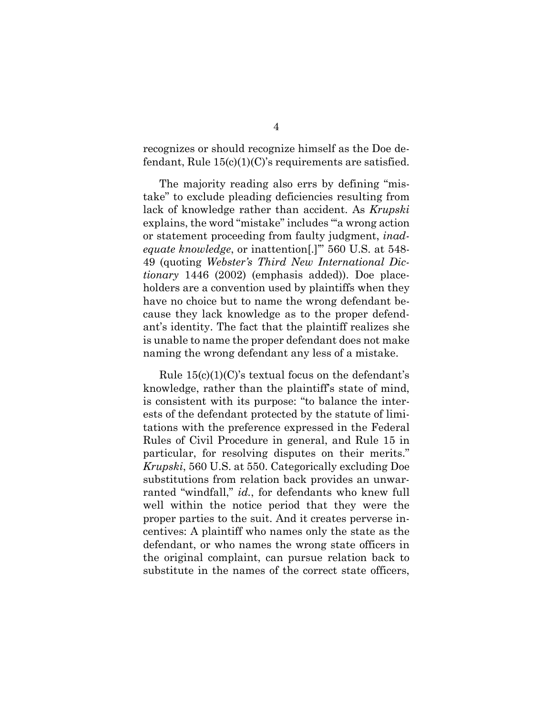recognizes or should recognize himself as the Doe defendant, Rule  $15(c)(1)(C)$ 's requirements are satisfied.

The majority reading also errs by defining "mistake" to exclude pleading deficiencies resulting from lack of knowledge rather than accident. As *Krupski* explains, the word "mistake" includes "'a wrong action or statement proceeding from faulty judgment, *inadequate knowledge*, or inattention[.]'" 560 U.S. at 548- 49 (quoting *Webster's Third New International Dictionary* 1446 (2002) (emphasis added)). Doe placeholders are a convention used by plaintiffs when they have no choice but to name the wrong defendant because they lack knowledge as to the proper defendant's identity. The fact that the plaintiff realizes she is unable to name the proper defendant does not make naming the wrong defendant any less of a mistake.

Rule  $15(c)(1)(C)$ 's textual focus on the defendant's knowledge, rather than the plaintiff's state of mind, is consistent with its purpose: "to balance the interests of the defendant protected by the statute of limitations with the preference expressed in the Federal Rules of Civil Procedure in general, and Rule 15 in particular, for resolving disputes on their merits." *Krupski*, 560 U.S. at 550. Categorically excluding Doe substitutions from relation back provides an unwarranted "windfall," *id.*, for defendants who knew full well within the notice period that they were the proper parties to the suit. And it creates perverse incentives: A plaintiff who names only the state as the defendant, or who names the wrong state officers in the original complaint, can pursue relation back to substitute in the names of the correct state officers,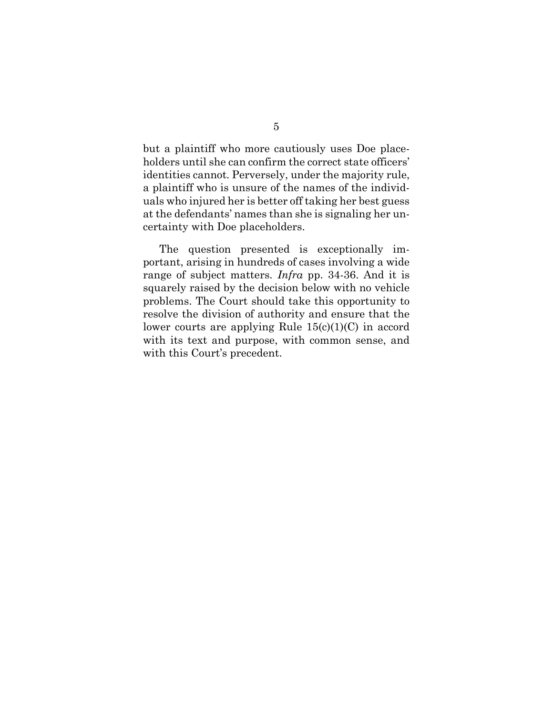but a plaintiff who more cautiously uses Doe placeholders until she can confirm the correct state officers' identities cannot. Perversely, under the majority rule, a plaintiff who is unsure of the names of the individuals who injured her is better off taking her best guess at the defendants' names than she is signaling her uncertainty with Doe placeholders.

The question presented is exceptionally important, arising in hundreds of cases involving a wide range of subject matters. *Infra* pp. 34-36. And it is squarely raised by the decision below with no vehicle problems. The Court should take this opportunity to resolve the division of authority and ensure that the lower courts are applying Rule  $15(c)(1)(C)$  in accord with its text and purpose, with common sense, and with this Court's precedent.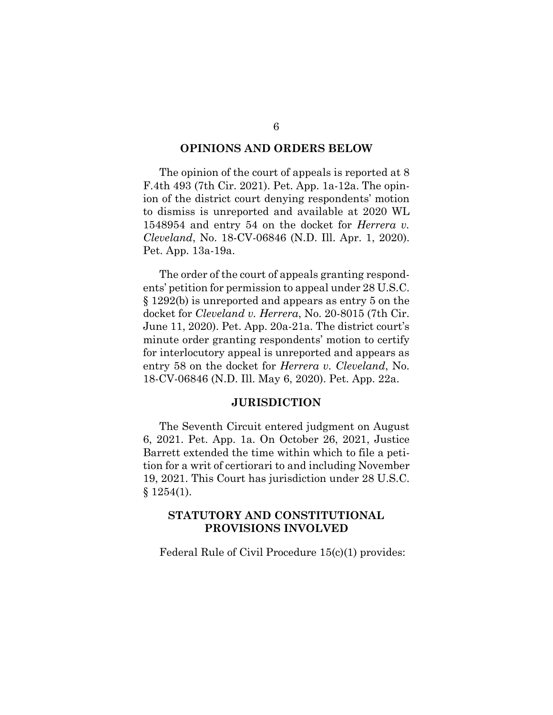#### **OPINIONS AND ORDERS BELOW**

<span id="page-20-0"></span>The opinion of the court of appeals is reported at 8 F.4th 493 (7th Cir. 2021). Pet. App. 1a-12a. The opinion of the district court denying respondents' motion to dismiss is unreported and available at 2020 WL 1548954 and entry 54 on the docket for *Herrera v. Cleveland*, No. 18-CV-06846 (N.D. Ill. Apr. 1, 2020). Pet. App. 13a-19a.

The order of the court of appeals granting respondents' petition for permission to appeal under 28 U.S.C. § 1292(b) is unreported and appears as entry 5 on the docket for *Cleveland v. Herrera*, No. 20-8015 (7th Cir. June 11, 2020). Pet. App. 20a-21a. The district court's minute order granting respondents' motion to certify for interlocutory appeal is unreported and appears as entry 58 on the docket for *Herrera v. Cleveland*, No. 18-CV-06846 (N.D. Ill. May 6, 2020). Pet. App. 22a.

#### **JURISDICTION**

<span id="page-20-1"></span>The Seventh Circuit entered judgment on August 6, 2021. Pet. App. 1a. On October 26, 2021, Justice Barrett extended the time within which to file a petition for a writ of certiorari to and including November 19, 2021. This Court has jurisdiction under 28 U.S.C.  $§ 1254(1).$ 

#### <span id="page-20-2"></span>**STATUTORY AND CONSTITUTIONAL PROVISIONS INVOLVED**

Federal Rule of Civil Procedure 15(c)(1) provides: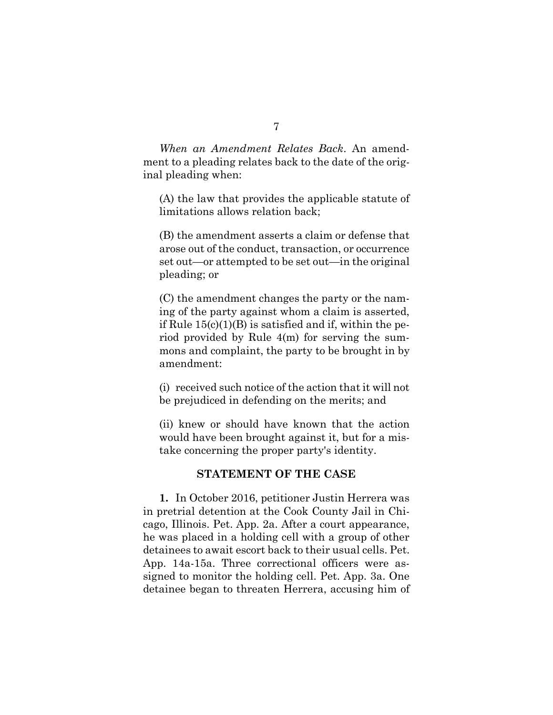*When an Amendment Relates Back*. An amendment to a pleading relates back to the date of the original pleading when:

(A) the law that provides the applicable statute of limitations allows relation back;

(B) the amendment asserts a claim or defense that arose out of the conduct, transaction, or occurrence set out—or attempted to be set out—in the original pleading; or

(C) the amendment changes the party or the naming of the party against whom a claim is asserted, if Rule  $15(c)(1)(B)$  is satisfied and if, within the period provided by Rule 4(m) for serving the summons and complaint, the party to be brought in by amendment:

(i) received such notice of the action that it will not be prejudiced in defending on the merits; and

(ii) knew or should have known that the action would have been brought against it, but for a mistake concerning the proper party's identity.

#### **STATEMENT OF THE CASE**

<span id="page-21-0"></span>**1.** In October 2016, petitioner Justin Herrera was in pretrial detention at the Cook County Jail in Chicago, Illinois. Pet. App. 2a. After a court appearance, he was placed in a holding cell with a group of other detainees to await escort back to their usual cells. Pet. App. 14a-15a. Three correctional officers were assigned to monitor the holding cell. Pet. App. 3a. One detainee began to threaten Herrera, accusing him of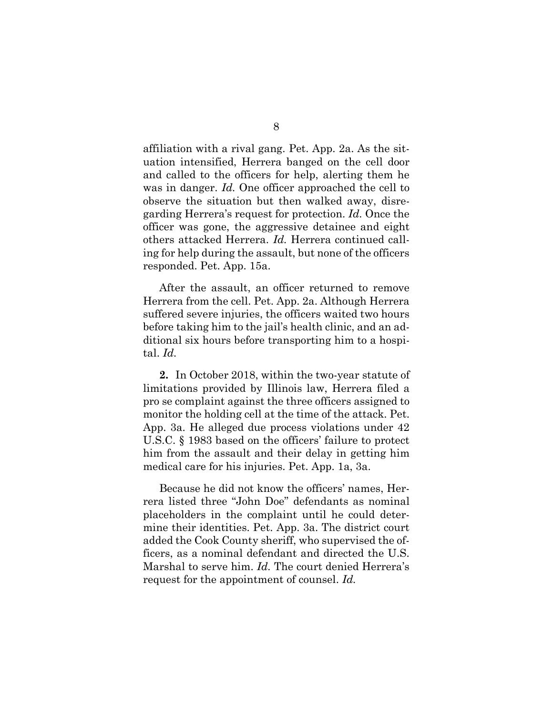affiliation with a rival gang. Pet. App. 2a. As the situation intensified, Herrera banged on the cell door and called to the officers for help, alerting them he was in danger. *Id.* One officer approached the cell to observe the situation but then walked away, disregarding Herrera's request for protection. *Id.* Once the officer was gone, the aggressive detainee and eight others attacked Herrera. *Id.* Herrera continued calling for help during the assault, but none of the officers responded. Pet. App. 15a.

After the assault, an officer returned to remove Herrera from the cell. Pet. App. 2a. Although Herrera suffered severe injuries, the officers waited two hours before taking him to the jail's health clinic, and an additional six hours before transporting him to a hospital. *Id.*

**2.** In October 2018, within the two-year statute of limitations provided by Illinois law, Herrera filed a pro se complaint against the three officers assigned to monitor the holding cell at the time of the attack. Pet. App. 3a. He alleged due process violations under 42 U.S.C. § 1983 based on the officers' failure to protect him from the assault and their delay in getting him medical care for his injuries. Pet. App. 1a, 3a.

Because he did not know the officers' names, Herrera listed three "John Doe" defendants as nominal placeholders in the complaint until he could determine their identities. Pet. App. 3a. The district court added the Cook County sheriff, who supervised the officers, as a nominal defendant and directed the U.S. Marshal to serve him. *Id.* The court denied Herrera's request for the appointment of counsel. *Id.*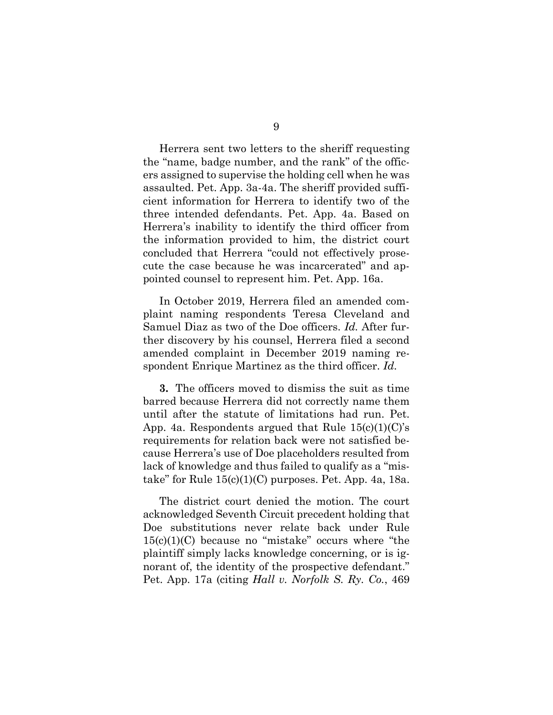Herrera sent two letters to the sheriff requesting the "name, badge number, and the rank" of the officers assigned to supervise the holding cell when he was assaulted. Pet. App. 3a-4a. The sheriff provided sufficient information for Herrera to identify two of the three intended defendants. Pet. App. 4a. Based on Herrera's inability to identify the third officer from the information provided to him, the district court concluded that Herrera "could not effectively prosecute the case because he was incarcerated" and appointed counsel to represent him. Pet. App. 16a.

In October 2019, Herrera filed an amended complaint naming respondents Teresa Cleveland and Samuel Diaz as two of the Doe officers. *Id.* After further discovery by his counsel, Herrera filed a second amended complaint in December 2019 naming respondent Enrique Martinez as the third officer. *Id.* 

**3.** The officers moved to dismiss the suit as time barred because Herrera did not correctly name them until after the statute of limitations had run. Pet. App. 4a. Respondents argued that Rule  $15(c)(1)(C)$ 's requirements for relation back were not satisfied because Herrera's use of Doe placeholders resulted from lack of knowledge and thus failed to qualify as a "mistake" for Rule  $15(c)(1)(C)$  purposes. Pet. App. 4a, 18a.

The district court denied the motion. The court acknowledged Seventh Circuit precedent holding that Doe substitutions never relate back under Rule 15(c)(1)(C) because no "mistake" occurs where "the plaintiff simply lacks knowledge concerning, or is ignorant of, the identity of the prospective defendant." Pet. App. 17a (citing *Hall v. Norfolk S. Ry. Co.*, 469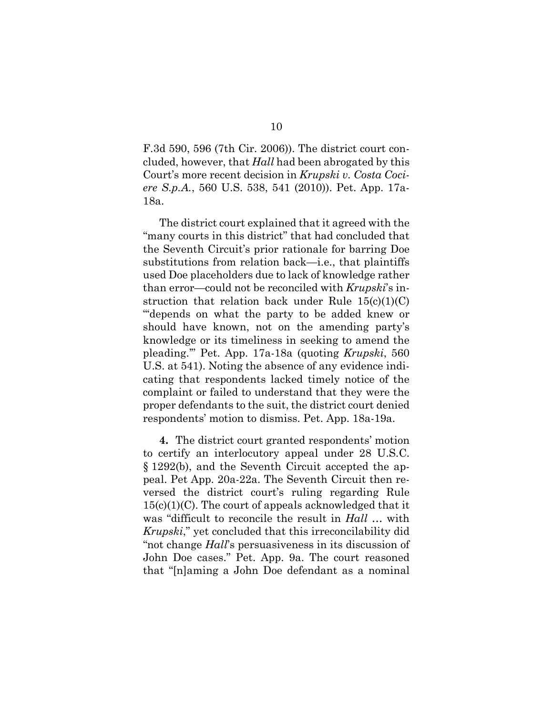F.3d 590, 596 (7th Cir. 2006)). The district court concluded, however, that *Hall* had been abrogated by this Court's more recent decision in *Krupski v. Costa Cociere S.p.A.*, 560 U.S. 538, 541 (2010)). Pet. App. 17a-18a.

The district court explained that it agreed with the "many courts in this district" that had concluded that the Seventh Circuit's prior rationale for barring Doe substitutions from relation back—i.e., that plaintiffs used Doe placeholders due to lack of knowledge rather than error—could not be reconciled with *Krupski*'s instruction that relation back under Rule  $15(c)(1)(C)$ "'depends on what the party to be added knew or should have known, not on the amending party's knowledge or its timeliness in seeking to amend the pleading.'" Pet. App. 17a-18a (quoting *Krupski*, 560 U.S. at 541). Noting the absence of any evidence indicating that respondents lacked timely notice of the complaint or failed to understand that they were the proper defendants to the suit, the district court denied respondents' motion to dismiss. Pet. App. 18a-19a.

**4.** The district court granted respondents' motion to certify an interlocutory appeal under 28 U.S.C. § 1292(b), and the Seventh Circuit accepted the appeal. Pet App. 20a-22a. The Seventh Circuit then reversed the district court's ruling regarding Rule  $15(c)(1)(C)$ . The court of appeals acknowledged that it was "difficult to reconcile the result in *Hall …* with *Krupski*," yet concluded that this irreconcilability did "not change *Hall*'s persuasiveness in its discussion of John Doe cases." Pet. App. 9a. The court reasoned that "[n]aming a John Doe defendant as a nominal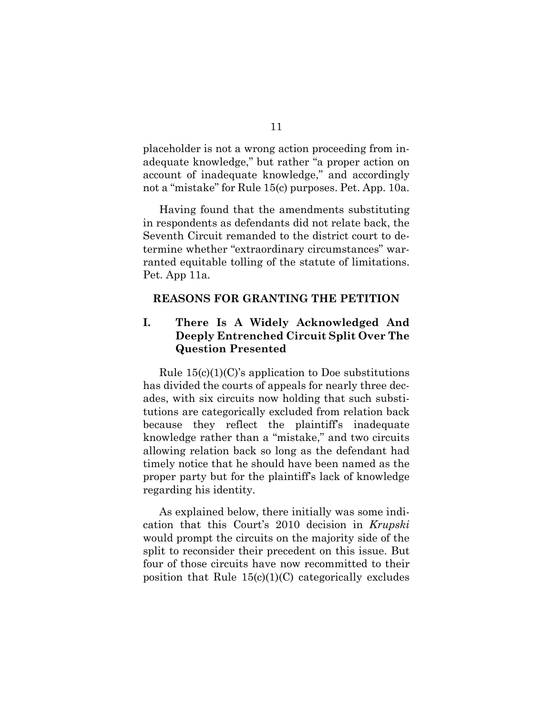placeholder is not a wrong action proceeding from inadequate knowledge," but rather "a proper action on account of inadequate knowledge," and accordingly not a "mistake" for Rule 15(c) purposes. Pet. App. 10a.

Having found that the amendments substituting in respondents as defendants did not relate back, the Seventh Circuit remanded to the district court to determine whether "extraordinary circumstances" warranted equitable tolling of the statute of limitations. Pet. App 11a.

#### <span id="page-25-0"></span>**REASONS FOR GRANTING THE PETITION**

### <span id="page-25-1"></span>**I. There Is A Widely Acknowledged And Deeply Entrenched Circuit Split Over The Question Presented**

Rule  $15(c)(1)(C)$ 's application to Doe substitutions has divided the courts of appeals for nearly three decades, with six circuits now holding that such substitutions are categorically excluded from relation back because they reflect the plaintiff's inadequate knowledge rather than a "mistake," and two circuits allowing relation back so long as the defendant had timely notice that he should have been named as the proper party but for the plaintiff's lack of knowledge regarding his identity.

As explained below, there initially was some indication that this Court's 2010 decision in *Krupski* would prompt the circuits on the majority side of the split to reconsider their precedent on this issue. But four of those circuits have now recommitted to their position that Rule  $15(c)(1)(C)$  categorically excludes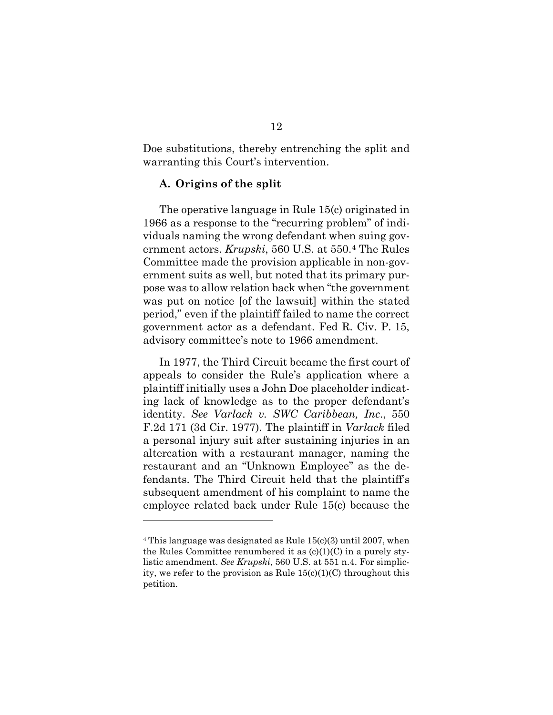Doe substitutions, thereby entrenching the split and warranting this Court's intervention.

#### <span id="page-26-0"></span>**A. Origins of the split**

The operative language in Rule 15(c) originated in 1966 as a response to the "recurring problem" of individuals naming the wrong defendant when suing government actors. *Krupski*, 560 U.S. at 550.[4](#page-26-1) The Rules Committee made the provision applicable in non-government suits as well, but noted that its primary purpose was to allow relation back when "the government was put on notice [of the lawsuit] within the stated period," even if the plaintiff failed to name the correct government actor as a defendant. Fed R. Civ. P. 15, advisory committee's note to 1966 amendment.

In 1977, the Third Circuit became the first court of appeals to consider the Rule's application where a plaintiff initially uses a John Doe placeholder indicating lack of knowledge as to the proper defendant's identity. *See Varlack v. SWC Caribbean, Inc*., 550 F.2d 171 (3d Cir. 1977). The plaintiff in *Varlack* filed a personal injury suit after sustaining injuries in an altercation with a restaurant manager, naming the restaurant and an "Unknown Employee" as the defendants. The Third Circuit held that the plaintiff's subsequent amendment of his complaint to name the employee related back under Rule 15(c) because the

<span id="page-26-1"></span> $4$  This language was designated as Rule  $15(c)(3)$  until 2007, when the Rules Committee renumbered it as  $(c)(1)(C)$  in a purely stylistic amendment. *See Krupski*, 560 U.S. at 551 n.4. For simplicity, we refer to the provision as Rule  $15(c)(1)(C)$  throughout this petition.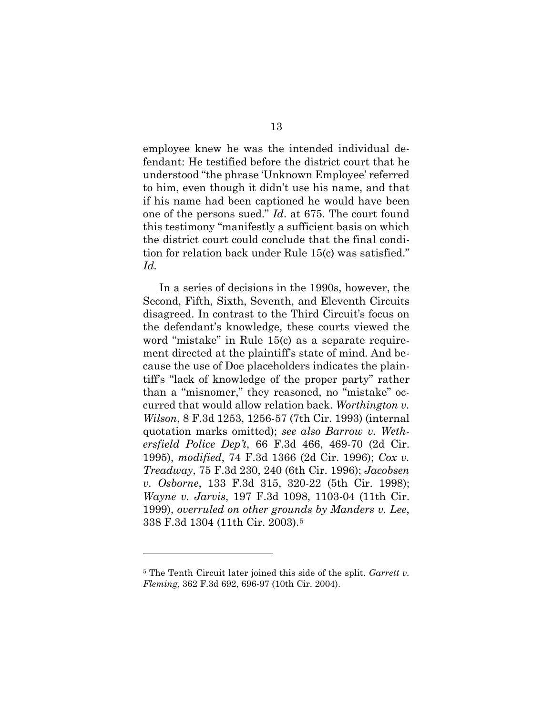employee knew he was the intended individual defendant: He testified before the district court that he understood "the phrase 'Unknown Employee' referred to him, even though it didn't use his name, and that if his name had been captioned he would have been one of the persons sued." *Id*. at 675. The court found this testimony "manifestly a sufficient basis on which the district court could conclude that the final condition for relation back under Rule 15(c) was satisfied." *Id.*

In a series of decisions in the 1990s, however, the Second, Fifth, Sixth, Seventh, and Eleventh Circuits disagreed. In contrast to the Third Circuit's focus on the defendant's knowledge, these courts viewed the word "mistake" in Rule 15(c) as a separate requirement directed at the plaintiff's state of mind. And because the use of Doe placeholders indicates the plaintiff's "lack of knowledge of the proper party" rather than a "misnomer," they reasoned, no "mistake" occurred that would allow relation back. *Worthington v. Wilson*, 8 F.3d 1253, 1256-57 (7th Cir. 1993) (internal quotation marks omitted); *see also Barrow v. Wethersfield Police Dep't*, 66 F.3d 466, 469-70 (2d Cir. 1995), *modified*, 74 F.3d 1366 (2d Cir. 1996); *Cox v. Treadway*, 75 F.3d 230, 240 (6th Cir. 1996); *Jacobsen v. Osborne*, 133 F.3d 315, 320-22 (5th Cir. 1998); *Wayne v. Jarvis*, 197 F.3d 1098, 1103-04 (11th Cir. 1999), *overruled on other grounds by Manders v. Lee*, 338 F.3d 1304 (11th Cir. 2003).[5](#page-27-0)

<span id="page-27-0"></span><sup>5</sup> The Tenth Circuit later joined this side of the split. *Garrett v. Fleming*, 362 F.3d 692, 696-97 (10th Cir. 2004).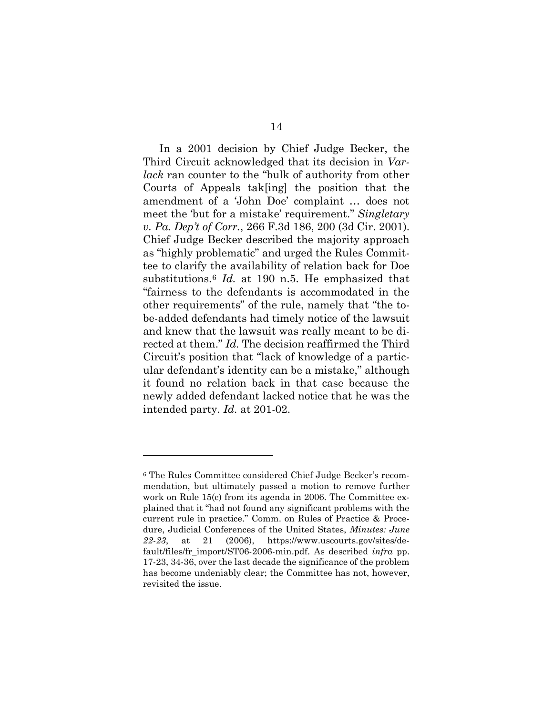In a 2001 decision by Chief Judge Becker, the Third Circuit acknowledged that its decision in *Varlack* ran counter to the "bulk of authority from other Courts of Appeals tak[ing] the position that the amendment of a 'John Doe' complaint … does not meet the 'but for a mistake' requirement." *Singletary v. Pa. Dep't of Corr.*, 266 F.3d 186, 200 (3d Cir. 2001). Chief Judge Becker described the majority approach as "highly problematic" and urged the Rules Committee to clarify the availability of relation back for Doe substitutions.[6](#page-28-0) *Id.* at 190 n.5. He emphasized that "fairness to the defendants is accommodated in the other requirements" of the rule, namely that "the tobe-added defendants had timely notice of the lawsuit and knew that the lawsuit was really meant to be directed at them." *Id.* The decision reaffirmed the Third Circuit's position that "lack of knowledge of a particular defendant's identity can be a mistake," although it found no relation back in that case because the newly added defendant lacked notice that he was the intended party. *Id.* at 201-02.

<span id="page-28-0"></span><sup>6</sup> The Rules Committee considered Chief Judge Becker's recommendation, but ultimately passed a motion to remove further work on Rule 15(c) from its agenda in 2006. The Committee explained that it "had not found any significant problems with the current rule in practice." Comm. on Rules of Practice & Procedure, Judicial Conferences of the United States, *Minutes: June 22-23*, at 21 (2006), https://www.uscourts.gov/sites/default/files/fr\_import/ST06-2006-min.pdf. As described *infra* pp. 17-23, 34-36, over the last decade the significance of the problem has become undeniably clear; the Committee has not, however, revisited the issue.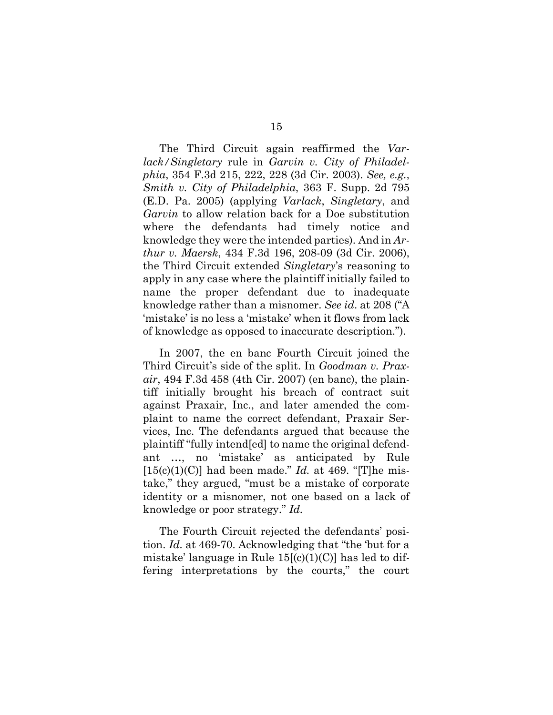The Third Circuit again reaffirmed the *Varlack/Singletary* rule in *Garvin v. City of Philadelphia*, 354 F.3d 215, 222, 228 (3d Cir. 2003). *See, e.g.*, *Smith v. City of Philadelphia*, 363 F. Supp. 2d 795 (E.D. Pa. 2005) (applying *Varlack*, *Singletary*, and *Garvin* to allow relation back for a Doe substitution where the defendants had timely notice and knowledge they were the intended parties). And in *Arthur v. Maersk*, 434 F.3d 196, 208-09 (3d Cir. 2006), the Third Circuit extended *Singletary*'s reasoning to apply in any case where the plaintiff initially failed to name the proper defendant due to inadequate knowledge rather than a misnomer. *See id*. at 208 ("A 'mistake' is no less a 'mistake' when it flows from lack of knowledge as opposed to inaccurate description.").

In 2007, the en banc Fourth Circuit joined the Third Circuit's side of the split. In *Goodman v. Praxair*, 494 F.3d 458 (4th Cir. 2007) (en banc), the plaintiff initially brought his breach of contract suit against Praxair, Inc., and later amended the complaint to name the correct defendant, Praxair Services, Inc. The defendants argued that because the plaintiff "fully intend[ed] to name the original defendant …, no 'mistake' as anticipated by Rule  $[15(c)(1)(C)]$  had been made." *Id.* at 469. "[T]he mistake," they argued, "must be a mistake of corporate identity or a misnomer, not one based on a lack of knowledge or poor strategy." *Id.* 

The Fourth Circuit rejected the defendants' position. *Id.* at 469-70. Acknowledging that "the 'but for a mistake' language in Rule  $15[(c)(1)(C)]$  has led to differing interpretations by the courts," the court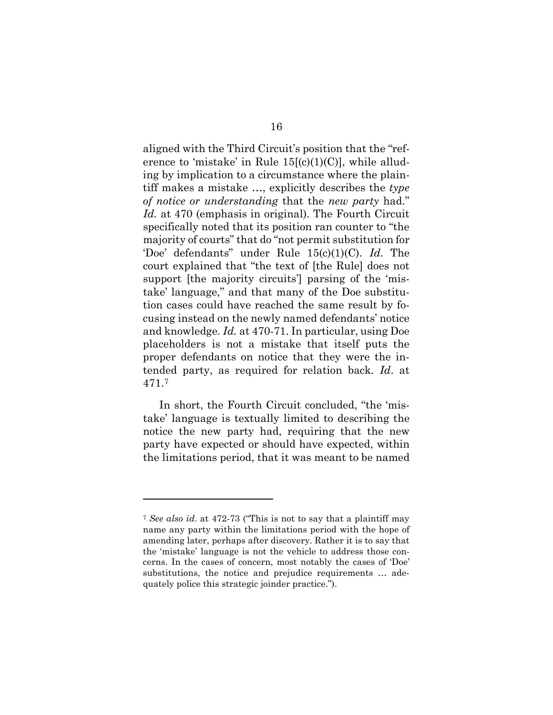aligned with the Third Circuit's position that the "reference to 'mistake' in Rule  $15[(c)(1)(C)]$ , while alluding by implication to a circumstance where the plaintiff makes a mistake …, explicitly describes the *type of notice or understanding* that the *new party* had." *Id.* at 470 (emphasis in original). The Fourth Circuit specifically noted that its position ran counter to "the majority of courts" that do "not permit substitution for 'Doe' defendants" under Rule 15(c)(1)(C). *Id*. The court explained that "the text of [the Rule] does not support [the majority circuits'] parsing of the 'mistake' language," and that many of the Doe substitution cases could have reached the same result by focusing instead on the newly named defendants' notice and knowledge. *Id.* at 470-71. In particular, using Doe placeholders is not a mistake that itself puts the proper defendants on notice that they were the intended party, as required for relation back. *Id*. at 471.[7](#page-30-0)

In short, the Fourth Circuit concluded, "the 'mistake' language is textually limited to describing the notice the new party had, requiring that the new party have expected or should have expected, within the limitations period, that it was meant to be named

<span id="page-30-0"></span><sup>7</sup> *See also id*. at 472-73 ("This is not to say that a plaintiff may name any party within the limitations period with the hope of amending later, perhaps after discovery. Rather it is to say that the 'mistake' language is not the vehicle to address those concerns. In the cases of concern, most notably the cases of 'Doe' substitutions, the notice and prejudice requirements … adequately police this strategic joinder practice.").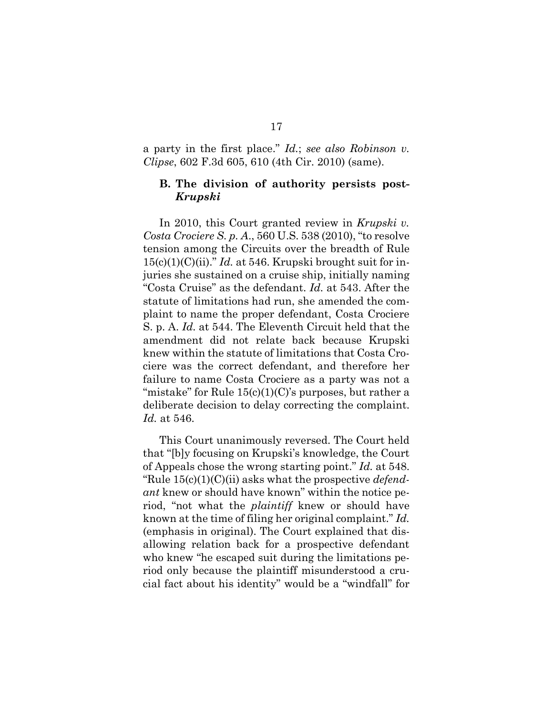a party in the first place." *Id.*; *see also Robinson v. Clipse*, 602 F.3d 605, 610 (4th Cir. 2010) (same).

#### <span id="page-31-0"></span>**B. The division of authority persists post-***Krupski*

In 2010, this Court granted review in *Krupski v. Costa Crociere S. p. A*., 560 U.S. 538 (2010), "to resolve tension among the Circuits over the breadth of Rule 15(c)(1)(C)(ii)." *Id.* at 546. Krupski brought suit for injuries she sustained on a cruise ship, initially naming "Costa Cruise" as the defendant. *Id.* at 543. After the statute of limitations had run, she amended the complaint to name the proper defendant, Costa Crociere S. p. A. *Id.* at 544. The Eleventh Circuit held that the amendment did not relate back because Krupski knew within the statute of limitations that Costa Crociere was the correct defendant, and therefore her failure to name Costa Crociere as a party was not a "mistake" for Rule  $15(c)(1)(C)$ 's purposes, but rather a deliberate decision to delay correcting the complaint. *Id.* at 546.

This Court unanimously reversed. The Court held that "[b]y focusing on Krupski's knowledge, the Court of Appeals chose the wrong starting point." *Id.* at 548. "Rule 15(c)(1)(C)(ii) asks what the prospective *defendant* knew or should have known" within the notice period, "not what the *plaintiff* knew or should have known at the time of filing her original complaint." *Id.* (emphasis in original). The Court explained that disallowing relation back for a prospective defendant who knew "he escaped suit during the limitations period only because the plaintiff misunderstood a crucial fact about his identity" would be a "windfall" for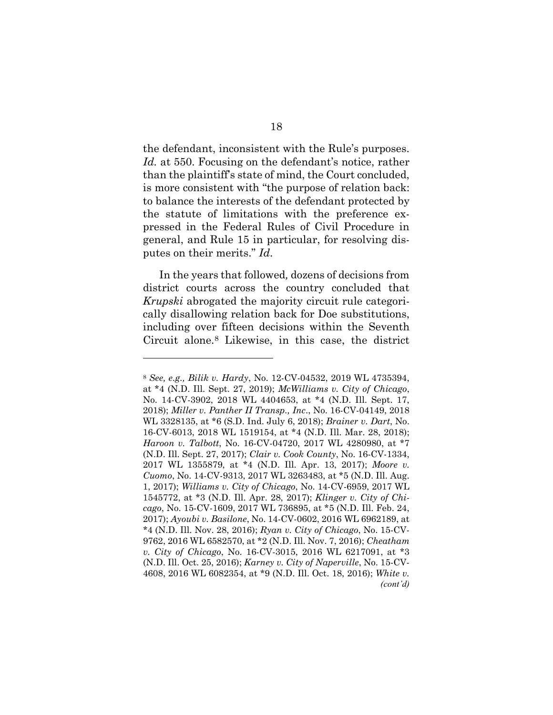the defendant, inconsistent with the Rule's purposes. *Id.* at 550. Focusing on the defendant's notice, rather than the plaintiff's state of mind, the Court concluded, is more consistent with "the purpose of relation back: to balance the interests of the defendant protected by the statute of limitations with the preference expressed in the Federal Rules of Civil Procedure in general, and Rule 15 in particular, for resolving disputes on their merits." *Id*.

In the years that followed*,* dozens of decisions from district courts across the country concluded that *Krupski* abrogated the majority circuit rule categorically disallowing relation back for Doe substitutions, including over fifteen decisions within the Seventh Circuit alone.[8](#page-32-0) Likewise, in this case, the district

<span id="page-32-0"></span><sup>8</sup> *See, e.g., Bilik v. Hardy*, No. 12-CV-04532, 2019 WL 4735394, at \*4 (N.D. Ill. Sept. 27, 2019); *McWilliams v. City of Chicago*, No. 14-CV-3902, 2018 WL 4404653, at \*4 (N.D. Ill. Sept. 17, 2018); *Miller v. Panther II Transp., Inc*., No. 16-CV-04149, 2018 WL 3328135, at \*6 (S.D. Ind. July 6, 2018); *Brainer v. Dart*, No. 16-CV-6013, 2018 WL 1519154, at \*4 (N.D. Ill. Mar. 28, 2018); *Haroon v. Talbott*, No. 16-CV-04720, 2017 WL 4280980, at \*7 (N.D. Ill. Sept. 27, 2017); *Clair v. Cook County*, No. 16-CV-1334, 2017 WL 1355879, at \*4 (N.D. Ill. Apr. 13, 2017); *Moore v. Cuomo*, No. 14-CV-9313, 2017 WL 3263483, at \*5 (N.D. Ill. Aug. 1, 2017); *Williams v. City of Chicago*, No. 14-CV-6959, 2017 WL 1545772, at \*3 (N.D. Ill. Apr. 28, 2017); *Klinger v. City of Chicago*, No. 15-CV-1609, 2017 WL 736895, at \*5 (N.D. Ill. Feb. 24, 2017); *Ayoubi v. Basilone*, No. 14-CV-0602, 2016 WL 6962189, at \*4 (N.D. Ill. Nov. 28, 2016); *Ryan v. City of Chicago*, No. 15-CV-9762, 2016 WL 6582570, at \*2 (N.D. Ill. Nov. 7, 2016); *Cheatham v. City of Chicago*, No. 16-CV-3015, 2016 WL 6217091, at \*3 (N.D. Ill. Oct. 25, 2016); *Karney v. City of Naperville*, No. 15-CV-4608, 2016 WL 6082354, at \*9 (N.D. Ill. Oct. 18, 2016); *White v. (cont'd)*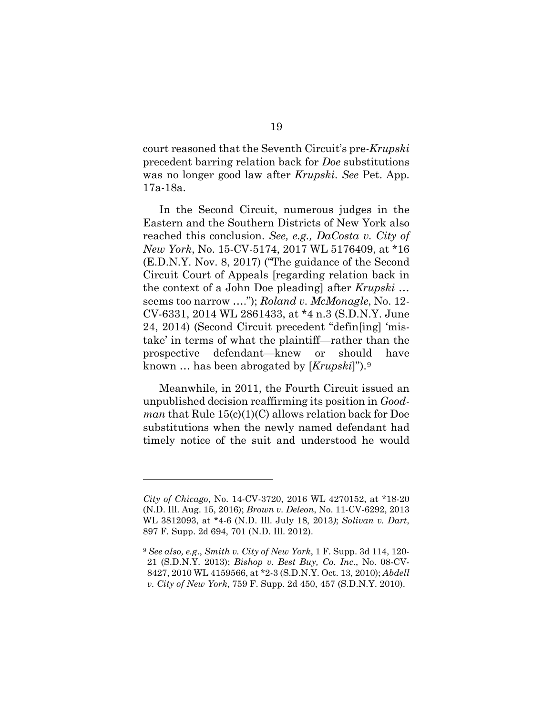court reasoned that the Seventh Circuit's pre-*Krupski* precedent barring relation back for *Doe* substitutions was no longer good law after *Krupski*. *See* Pet. App. 17a-18a.

In the Second Circuit, numerous judges in the Eastern and the Southern Districts of New York also reached this conclusion. *See, e.g., DaCosta v. City of New York*, No. 15-CV-5174, 2017 WL 5176409, at \*16 (E.D.N.Y. Nov. 8, 2017) ("The guidance of the Second Circuit Court of Appeals [regarding relation back in the context of a John Doe pleading] after *Krupski* … seems too narrow …."); *Roland v. McMonagle*, No. 12- CV-6331, 2014 WL 2861433, at \*4 n.3 (S.D.N.Y. June 24, 2014) (Second Circuit precedent "defin[ing] 'mistake' in terms of what the plaintiff—rather than the prospective defendant—knew or should have known … has been abrogated by [*Krupski*]").[9](#page-33-0)

Meanwhile, in 2011, the Fourth Circuit issued an unpublished decision reaffirming its position in *Goodman* that Rule 15(c)(1)(C) allows relation back for Doe substitutions when the newly named defendant had timely notice of the suit and understood he would

*City of Chicago*, No. 14-CV-3720, 2016 WL 4270152, at \*18-20 (N.D. Ill. Aug. 15, 2016); *Brown v. Deleon*, No. 11-CV-6292, 2013 WL 3812093, at \*4-6 (N.D. Ill. July 18, 2013*)*; *Solivan v. Dart*, 897 F. Supp. 2d 694, 701 (N.D. Ill. 2012).

<span id="page-33-0"></span><sup>9</sup> *See also, e.g*., *Smith v. City of New York*, 1 F. Supp. 3d 114, 120- 21 (S.D.N.Y. 2013); *Bishop v. Best Buy, Co. Inc*., No. 08-CV-8427, 2010 WL 4159566, at \*2-3 (S.D.N.Y. Oct. 13, 2010); *Abdell v. City of New York*, 759 F. Supp. 2d 450, 457 (S.D.N.Y. 2010).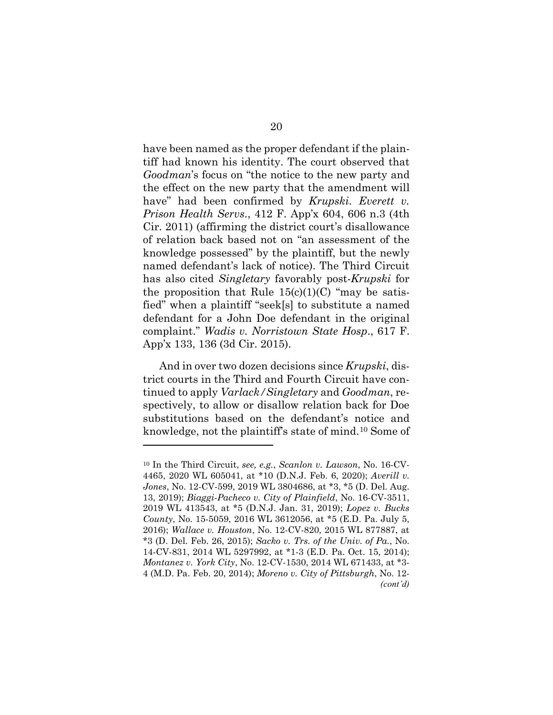have been named as the proper defendant if the plaintiff had known his identity. The court observed that *Goodman*'s focus on "the notice to the new party and the effect on the new party that the amendment will have" had been confirmed by *Krupski*. *Everett v. Prison Health Servs*., 412 F. App'x 604, 606 n.3 (4th Cir. 2011) (affirming the district court's disallowance of relation back based not on "an assessment of the knowledge possessed" by the plaintiff, but the newly named defendant's lack of notice). The Third Circuit has also cited *Singletary* favorably post-*Krupski* for the proposition that Rule  $15(c)(1)(C)$  "may be satisfied" when a plaintiff "seek[s] to substitute a named defendant for a John Doe defendant in the original complaint." *Wadis v. Norristown State Hosp*., 617 F. App'x 133, 136 (3d Cir. 2015).

And in over two dozen decisions since *Krupski*, district courts in the Third and Fourth Circuit have continued to apply *Varlack/Singletary* and *Goodman*, respectively, to allow or disallow relation back for Doe substitutions based on the defendant's notice and knowledge, not the plaintiff's state of mind.[10](#page-34-0) Some of

<span id="page-34-0"></span><sup>10</sup> In the Third Circuit, *see, e.g.*, *Scanlon v. Lawson*, No. 16-CV-4465, 2020 WL 605041, at \*10 (D.N.J. Feb. 6, 2020); *Averill v. Jones*, No. 12-CV-599, 2019 WL 3804686, at \*3, \*5 (D. Del. Aug. 13, 2019); *Biaggi-Pacheco v. City of Plainfield*, No. 16-CV-3511, 2019 WL 413543, at \*5 (D.N.J. Jan. 31, 2019); *Lopez v. Bucks County*, No. 15-5059, 2016 WL 3612056, at \*5 (E.D. Pa. July 5, 2016); *Wallace v. Houston*, No. 12-CV-820, 2015 WL 877887, at \*3 (D. Del. Feb. 26, 2015); *Sacko v. Trs. of the Univ. of Pa.*, No. 14-CV-831, 2014 WL 5297992, at \*1-3 (E.D. Pa. Oct. 15, 2014); *Montanez v. York City*, No. 12-CV-1530, 2014 WL 671433, at \*3- 4 (M.D. Pa. Feb. 20, 2014); *Moreno v. City of Pittsburgh*, No. 12- *(cont'd)*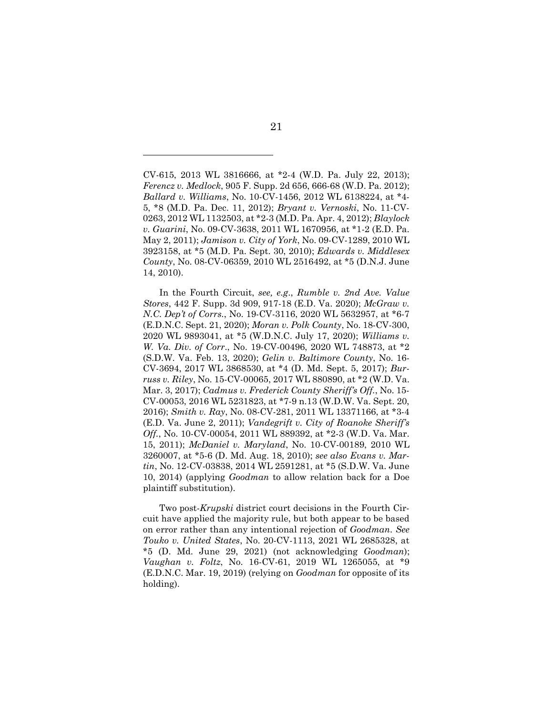CV-615, 2013 WL 3816666, at \*2-4 (W.D. Pa. July 22, 2013); *Ferencz v. Medlock*, 905 F. Supp. 2d 656, 666-68 (W.D. Pa. 2012); *Ballard v. Williams*, No. 10-CV-1456, 2012 WL 6138224, at \*4- 5, \*8 (M.D. Pa. Dec. 11, 2012); *Bryant v. Vernoski*, No. 11-CV-0263, 2012 WL 1132503, at \*2-3 (M.D. Pa. Apr. 4, 2012); *Blaylock v. Guarini*, No. 09-CV-3638, 2011 WL 1670956, at \*1-2 (E.D. Pa. May 2, 2011); *Jamison v. City of York*, No. 09-CV-1289, 2010 WL 3923158, at \*5 (M.D. Pa. Sept. 30, 2010); *Edwards v. Middlesex County*, No. 08-CV-06359, 2010 WL 2516492, at \*5 (D.N.J. June 14, 2010).

In the Fourth Circuit, *see, e.g*., *Rumble v. 2nd Ave. Value Stores*, 442 F. Supp. 3d 909, 917-18 (E.D. Va. 2020); *McGraw v. N.C. Dep't of Corrs.*, No. 19-CV-3116, 2020 WL 5632957, at \*6-7 (E.D.N.C. Sept. 21, 2020); *Moran v. Polk County*, No. 18-CV-300, 2020 WL 9893041, at \*5 (W.D.N.C. July 17, 2020); *Williams v. W. Va. Div. of Corr*., No. 19-CV-00496, 2020 WL 748873, at \*2 (S.D.W. Va. Feb. 13, 2020); *Gelin v. Baltimore County*, No. 16- CV-3694, 2017 WL 3868530, at \*4 (D. Md. Sept. 5, 2017); *Burruss v. Riley*, No. 15-CV-00065, 2017 WL 880890, at \*2 (W.D. Va. Mar. 3, 2017); *Cadmus v. Frederick County Sheriff's Off.*, No. 15- CV-00053, 2016 WL 5231823, at \*7-9 n.13 (W.D.W. Va. Sept. 20, 2016); *Smith v. Ray*, No. 08-CV-281, 2011 WL 13371166, at \*3-4 (E.D. Va. June 2, 2011); *Vandegrift v. City of Roanoke Sheriff's Off.*, No. 10-CV-00054, 2011 WL 889392, at \*2-3 (W.D. Va. Mar. 15, 2011); *McDaniel v. Maryland*, No. 10-CV-00189, 2010 WL 3260007, at \*5-6 (D. Md. Aug. 18, 2010); *see also Evans v. Martin*, No. 12-CV-03838, 2014 WL 2591281, at \*5 (S.D.W. Va. June 10, 2014) (applying *Goodman* to allow relation back for a Doe plaintiff substitution).

Two post-*Krupski* district court decisions in the Fourth Circuit have applied the majority rule, but both appear to be based on error rather than any intentional rejection of *Goodman*. *See Touko v. United States*, No. 20-CV-1113, 2021 WL 2685328, at \*5 (D. Md. June 29, 2021) (not acknowledging *Goodman*); *Vaughan v. Foltz*, No. 16-CV-61, 2019 WL 1265055, at \*9 (E.D.N.C. Mar. 19, 2019) (relying on *Goodman* for opposite of its holding).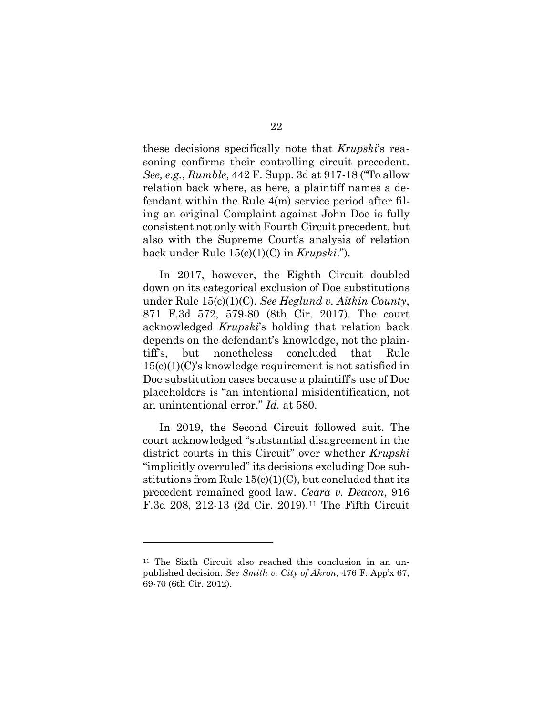these decisions specifically note that *Krupski*'s reasoning confirms their controlling circuit precedent. *See, e.g.*, *Rumble*, 442 F. Supp. 3d at 917-18 ("To allow relation back where, as here, a plaintiff names a defendant within the Rule 4(m) service period after filing an original Complaint against John Doe is fully consistent not only with Fourth Circuit precedent, but also with the Supreme Court's analysis of relation back under Rule 15(c)(1)(C) in *Krupski*.").

In 2017, however, the Eighth Circuit doubled down on its categorical exclusion of Doe substitutions under Rule 15(c)(1)(C). *See Heglund v. Aitkin County*, 871 F.3d 572, 579-80 (8th Cir. 2017). The court acknowledged *Krupski*'s holding that relation back depends on the defendant's knowledge, not the plaintiff's, but nonetheless concluded that Rule 15(c)(1)(C)'s knowledge requirement is not satisfied in Doe substitution cases because a plaintiff's use of Doe placeholders is "an intentional misidentification, not an unintentional error." *Id.* at 580.

In 2019, the Second Circuit followed suit. The court acknowledged "substantial disagreement in the district courts in this Circuit" over whether *Krupski* "implicitly overruled" its decisions excluding Doe substitutions from Rule  $15(c)(1)(C)$ , but concluded that its precedent remained good law. *Ceara v. Deacon*, 916 F.3d 208, 212-13 (2d Cir. 2019).[11](#page-36-0) The Fifth Circuit

<span id="page-36-0"></span><sup>11</sup> The Sixth Circuit also reached this conclusion in an unpublished decision. *See Smith v. City of Akron*, 476 F. App'x 67, 69-70 (6th Cir. 2012).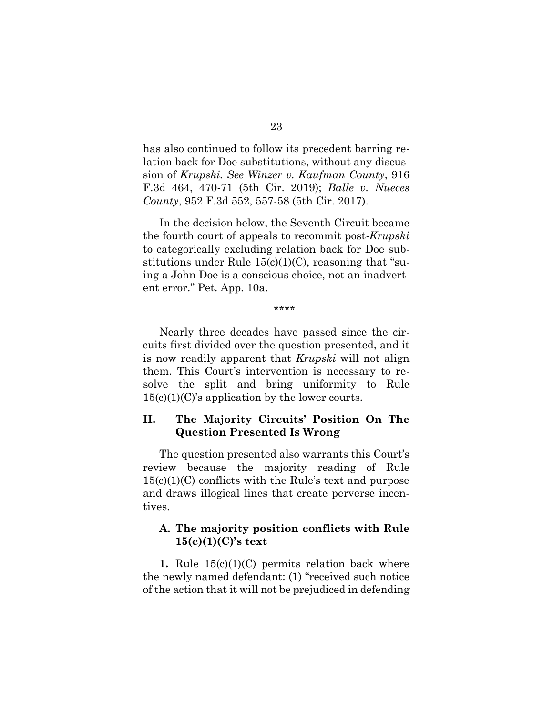has also continued to follow its precedent barring relation back for Doe substitutions, without any discussion of *Krupski. See Winzer v. Kaufman County*, 916 F.3d 464, 470-71 (5th Cir. 2019); *Balle v. Nueces County*, 952 F.3d 552, 557-58 (5th Cir. 2017).

In the decision below, the Seventh Circuit became the fourth court of appeals to recommit post-*Krupski*  to categorically excluding relation back for Doe substitutions under Rule  $15(c)(1)(C)$ , reasoning that "suing a John Doe is a conscious choice, not an inadvertent error." Pet. App. 10a.

\*\*\*\*

Nearly three decades have passed since the circuits first divided over the question presented, and it is now readily apparent that *Krupski* will not align them. This Court's intervention is necessary to resolve the split and bring uniformity to Rule  $15(c)(1)(C)$ 's application by the lower courts.

### <span id="page-37-0"></span>**II. The Majority Circuits' Position On The Question Presented Is Wrong**

The question presented also warrants this Court's review because the majority reading of Rule  $15(c)(1)(C)$  conflicts with the Rule's text and purpose and draws illogical lines that create perverse incentives.

### <span id="page-37-1"></span>**A. The majority position conflicts with Rule 15(c)(1)(C)'s text**

**1.** Rule 15(c)(1)(C) permits relation back where the newly named defendant: (1) "received such notice of the action that it will not be prejudiced in defending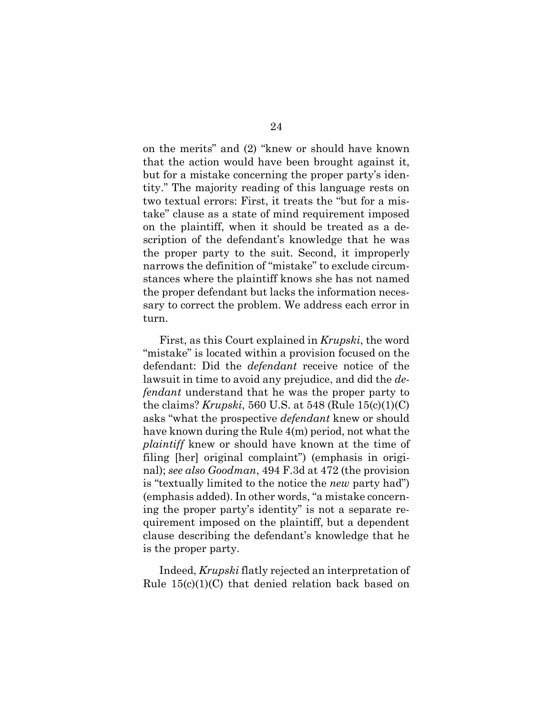on the merits" and (2) "knew or should have known that the action would have been brought against it, but for a mistake concerning the proper party's identity." The majority reading of this language rests on two textual errors: First, it treats the "but for a mistake" clause as a state of mind requirement imposed on the plaintiff, when it should be treated as a description of the defendant's knowledge that he was the proper party to the suit. Second, it improperly narrows the definition of "mistake" to exclude circumstances where the plaintiff knows she has not named the proper defendant but lacks the information necessary to correct the problem. We address each error in turn.

First, as this Court explained in *Krupski*, the word "mistake" is located within a provision focused on the defendant: Did the *defendant* receive notice of the lawsuit in time to avoid any prejudice, and did the *defendant* understand that he was the proper party to the claims? *Krupski*, 560 U.S. at 548 (Rule 15(c)(1)(C) asks "what the prospective *defendant* knew or should have known during the Rule 4(m) period, not what the *plaintiff* knew or should have known at the time of filing [her] original complaint") (emphasis in original); *see also Goodman*, 494 F.3d at 472 (the provision is "textually limited to the notice the *new* party had") (emphasis added). In other words, "a mistake concerning the proper party's identity" is not a separate requirement imposed on the plaintiff, but a dependent clause describing the defendant's knowledge that he is the proper party.

Indeed, *Krupski* flatly rejected an interpretation of Rule  $15(c)(1)(C)$  that denied relation back based on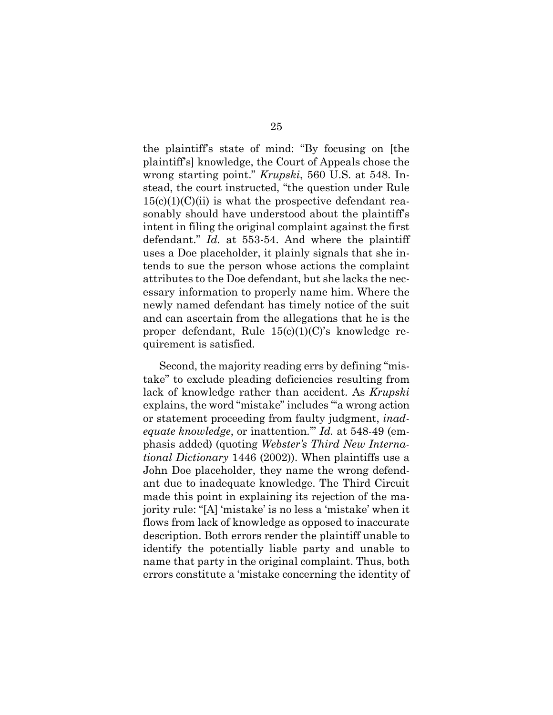the plaintiff's state of mind: "By focusing on [the plaintiff's] knowledge, the Court of Appeals chose the wrong starting point." *Krupski*, 560 U.S. at 548. Instead, the court instructed, "the question under Rule  $15(c)(1)(C)(ii)$  is what the prospective defendant reasonably should have understood about the plaintiff's intent in filing the original complaint against the first defendant." *Id.* at 553-54. And where the plaintiff uses a Doe placeholder, it plainly signals that she intends to sue the person whose actions the complaint attributes to the Doe defendant, but she lacks the necessary information to properly name him. Where the newly named defendant has timely notice of the suit and can ascertain from the allegations that he is the proper defendant, Rule 15(c)(1)(C)'s knowledge requirement is satisfied.

Second, the majority reading errs by defining "mistake" to exclude pleading deficiencies resulting from lack of knowledge rather than accident. As *Krupski* explains, the word "mistake" includes "'a wrong action or statement proceeding from faulty judgment, *inadequate knowledge*, or inattention.'" *Id.* at 548-49 (emphasis added) (quoting *Webster's Third New International Dictionary* 1446 (2002)). When plaintiffs use a John Doe placeholder, they name the wrong defendant due to inadequate knowledge. The Third Circuit made this point in explaining its rejection of the majority rule: "[A] 'mistake' is no less a 'mistake' when it flows from lack of knowledge as opposed to inaccurate description. Both errors render the plaintiff unable to identify the potentially liable party and unable to name that party in the original complaint. Thus, both errors constitute a 'mistake concerning the identity of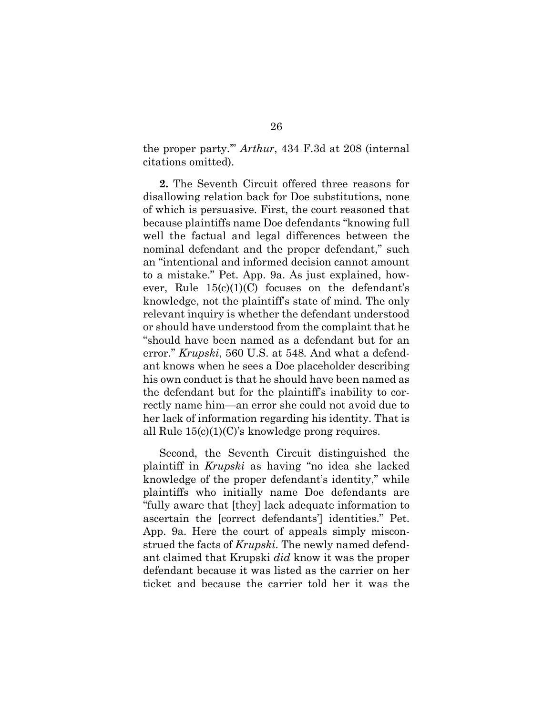the proper party.'" *Arthur*, 434 F.3d at 208 (internal citations omitted).

**2.** The Seventh Circuit offered three reasons for disallowing relation back for Doe substitutions, none of which is persuasive. First, the court reasoned that because plaintiffs name Doe defendants "knowing full well the factual and legal differences between the nominal defendant and the proper defendant," such an "intentional and informed decision cannot amount to a mistake." Pet. App. 9a. As just explained, however, Rule  $15(c)(1)(C)$  focuses on the defendant's knowledge, not the plaintiff's state of mind. The only relevant inquiry is whether the defendant understood or should have understood from the complaint that he "should have been named as a defendant but for an error." *Krupski*, 560 U.S. at 548*.* And what a defendant knows when he sees a Doe placeholder describing his own conduct is that he should have been named as the defendant but for the plaintiff's inability to correctly name him—an error she could not avoid due to her lack of information regarding his identity. That is all Rule  $15(c)(1)(C)$ 's knowledge prong requires.

Second, the Seventh Circuit distinguished the plaintiff in *Krupski* as having "no idea she lacked knowledge of the proper defendant's identity," while plaintiffs who initially name Doe defendants are "fully aware that [they] lack adequate information to ascertain the [correct defendants'] identities." Pet. App. 9a. Here the court of appeals simply misconstrued the facts of *Krupski*. The newly named defendant claimed that Krupski *did* know it was the proper defendant because it was listed as the carrier on her ticket and because the carrier told her it was the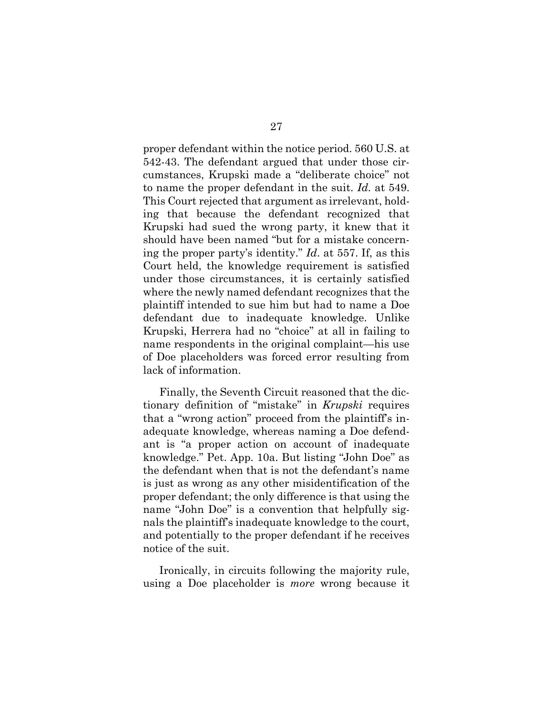proper defendant within the notice period. 560 U.S. at 542-43. The defendant argued that under those circumstances, Krupski made a "deliberate choice" not to name the proper defendant in the suit. *Id.* at 549. This Court rejected that argument as irrelevant, holding that because the defendant recognized that Krupski had sued the wrong party, it knew that it should have been named "but for a mistake concerning the proper party's identity." *Id*. at 557. If, as this Court held, the knowledge requirement is satisfied under those circumstances, it is certainly satisfied where the newly named defendant recognizes that the plaintiff intended to sue him but had to name a Doe defendant due to inadequate knowledge. Unlike Krupski, Herrera had no "choice" at all in failing to name respondents in the original complaint—his use of Doe placeholders was forced error resulting from lack of information.

Finally, the Seventh Circuit reasoned that the dictionary definition of "mistake" in *Krupski* requires that a "wrong action" proceed from the plaintiff's inadequate knowledge, whereas naming a Doe defendant is "a proper action on account of inadequate knowledge." Pet. App. 10a. But listing "John Doe" as the defendant when that is not the defendant's name is just as wrong as any other misidentification of the proper defendant; the only difference is that using the name "John Doe" is a convention that helpfully signals the plaintiff's inadequate knowledge to the court, and potentially to the proper defendant if he receives notice of the suit.

Ironically, in circuits following the majority rule, using a Doe placeholder is *more* wrong because it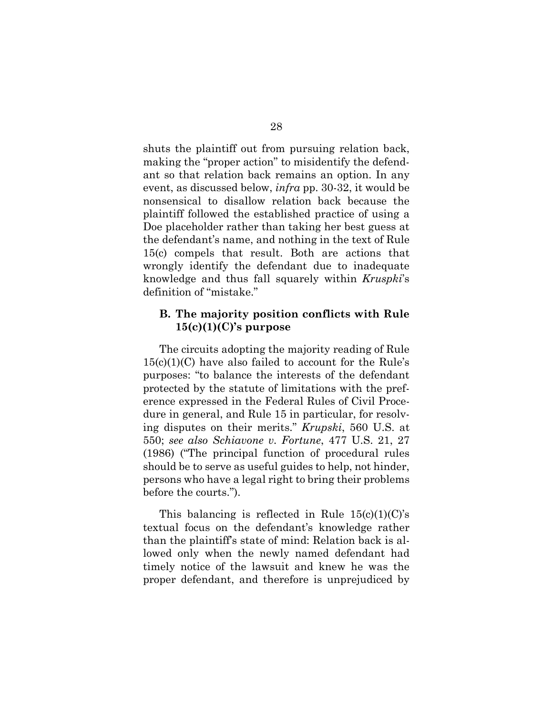shuts the plaintiff out from pursuing relation back, making the "proper action" to misidentify the defendant so that relation back remains an option. In any event, as discussed below, *infra* pp. 30-32, it would be nonsensical to disallow relation back because the plaintiff followed the established practice of using a Doe placeholder rather than taking her best guess at the defendant's name, and nothing in the text of Rule 15(c) compels that result. Both are actions that wrongly identify the defendant due to inadequate knowledge and thus fall squarely within *Kruspki*'s definition of "mistake."

### <span id="page-42-0"></span>**B. The majority position conflicts with Rule 15(c)(1)(C)'s purpose**

The circuits adopting the majority reading of Rule  $15(c)(1)(C)$  have also failed to account for the Rule's purposes: "to balance the interests of the defendant protected by the statute of limitations with the preference expressed in the Federal Rules of Civil Procedure in general, and Rule 15 in particular, for resolving disputes on their merits." *Krupski*, 560 U.S. at 550; *see also Schiavone v. Fortune*, 477 U.S. 21, 27 (1986) ("The principal function of procedural rules should be to serve as useful guides to help, not hinder, persons who have a legal right to bring their problems before the courts.").

This balancing is reflected in Rule  $15(c)(1)(C)$ 's textual focus on the defendant's knowledge rather than the plaintiff's state of mind: Relation back is allowed only when the newly named defendant had timely notice of the lawsuit and knew he was the proper defendant, and therefore is unprejudiced by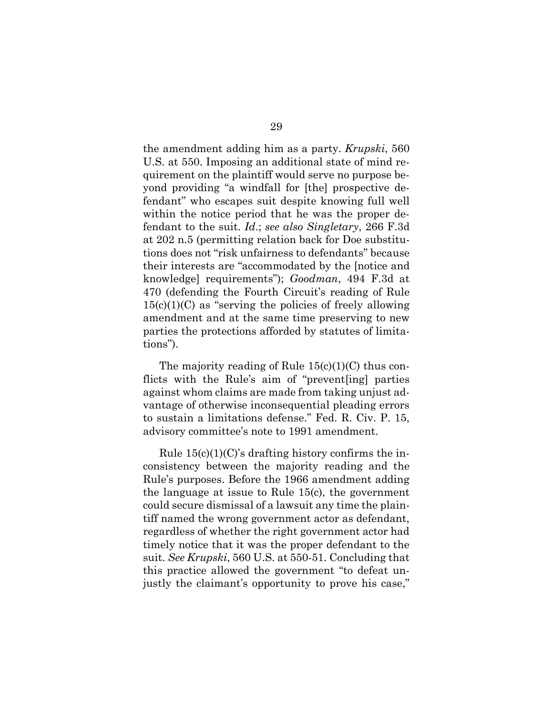the amendment adding him as a party. *Krupski*, 560 U.S. at 550. Imposing an additional state of mind requirement on the plaintiff would serve no purpose beyond providing "a windfall for [the] prospective defendant" who escapes suit despite knowing full well within the notice period that he was the proper defendant to the suit. *Id*.; *see also Singletary*, 266 F.3d at 202 n.5 (permitting relation back for Doe substitutions does not "risk unfairness to defendants" because their interests are "accommodated by the [notice and knowledge] requirements"); *Goodman*, 494 F.3d at 470 (defending the Fourth Circuit's reading of Rule  $15(c)(1)(C)$  as "serving the policies of freely allowing amendment and at the same time preserving to new parties the protections afforded by statutes of limitations").

The majority reading of Rule  $15(c)(1)(C)$  thus conflicts with the Rule's aim of "prevent[ing] parties against whom claims are made from taking unjust advantage of otherwise inconsequential pleading errors to sustain a limitations defense." Fed. R. Civ. P. 15, advisory committee's note to 1991 amendment.

Rule  $15(c)(1)(C)$ 's drafting history confirms the inconsistency between the majority reading and the Rule's purposes. Before the 1966 amendment adding the language at issue to Rule 15(c), the government could secure dismissal of a lawsuit any time the plaintiff named the wrong government actor as defendant, regardless of whether the right government actor had timely notice that it was the proper defendant to the suit. *See Krupski*, 560 U.S. at 550-51. Concluding that this practice allowed the government "to defeat unjustly the claimant's opportunity to prove his case,"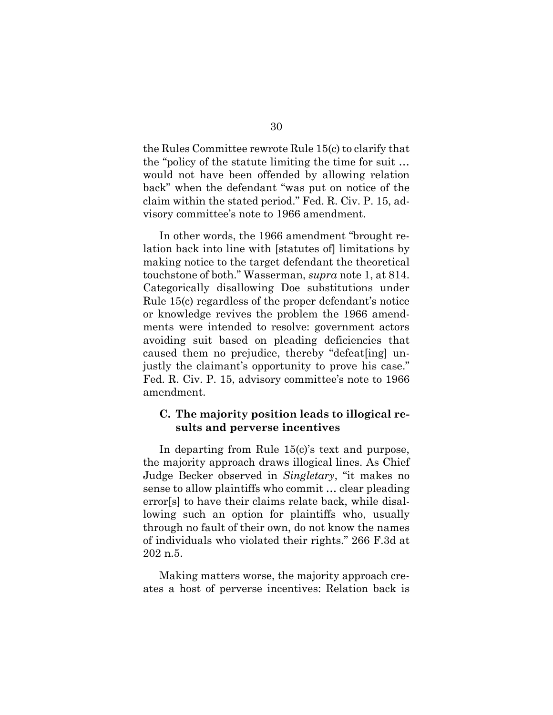the Rules Committee rewrote Rule 15(c) to clarify that the "policy of the statute limiting the time for suit … would not have been offended by allowing relation back" when the defendant "was put on notice of the claim within the stated period." Fed. R. Civ. P. 15, advisory committee's note to 1966 amendment.

In other words, the 1966 amendment "brought relation back into line with [statutes of] limitations by making notice to the target defendant the theoretical touchstone of both." Wasserman, *supra* note 1, at 814. Categorically disallowing Doe substitutions under Rule 15(c) regardless of the proper defendant's notice or knowledge revives the problem the 1966 amendments were intended to resolve: government actors avoiding suit based on pleading deficiencies that caused them no prejudice, thereby "defeat[ing] unjustly the claimant's opportunity to prove his case." Fed. R. Civ. P. 15, advisory committee's note to 1966 amendment.

### <span id="page-44-0"></span>**C. The majority position leads to illogical results and perverse incentives**

In departing from Rule 15(c)'s text and purpose, the majority approach draws illogical lines. As Chief Judge Becker observed in *Singletary*, "it makes no sense to allow plaintiffs who commit … clear pleading error[s] to have their claims relate back, while disallowing such an option for plaintiffs who, usually through no fault of their own, do not know the names of individuals who violated their rights." 266 F.3d at 202 n.5.

Making matters worse, the majority approach creates a host of perverse incentives: Relation back is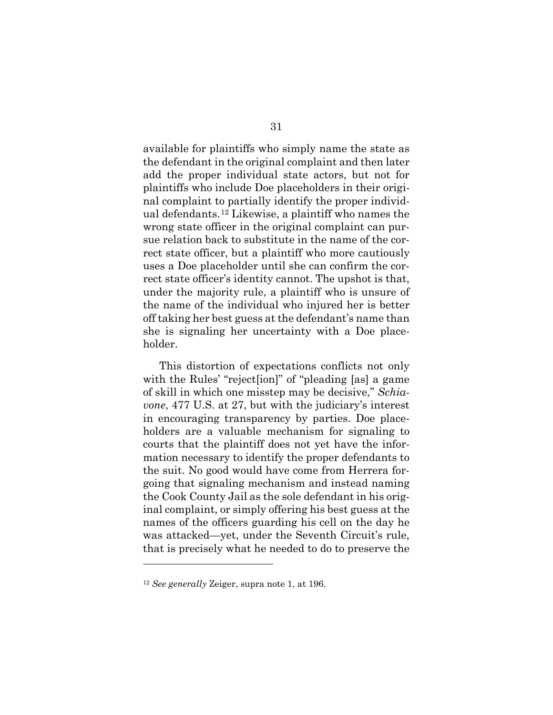available for plaintiffs who simply name the state as the defendant in the original complaint and then later add the proper individual state actors, but not for plaintiffs who include Doe placeholders in their original complaint to partially identify the proper individual defendants.[12](#page-45-0) Likewise, a plaintiff who names the wrong state officer in the original complaint can pursue relation back to substitute in the name of the correct state officer, but a plaintiff who more cautiously uses a Doe placeholder until she can confirm the correct state officer's identity cannot. The upshot is that, under the majority rule, a plaintiff who is unsure of the name of the individual who injured her is better off taking her best guess at the defendant's name than she is signaling her uncertainty with a Doe placeholder.

This distortion of expectations conflicts not only with the Rules' "rejectsion" of "pleading [as] a game of skill in which one misstep may be decisive," *Schiavone*, 477 U.S. at 27, but with the judiciary's interest in encouraging transparency by parties. Doe placeholders are a valuable mechanism for signaling to courts that the plaintiff does not yet have the information necessary to identify the proper defendants to the suit. No good would have come from Herrera forgoing that signaling mechanism and instead naming the Cook County Jail as the sole defendant in his original complaint, or simply offering his best guess at the names of the officers guarding his cell on the day he was attacked—yet, under the Seventh Circuit's rule, that is precisely what he needed to do to preserve the

<span id="page-45-0"></span><sup>12</sup> *See generally* Zeiger, supra note 1, at 196.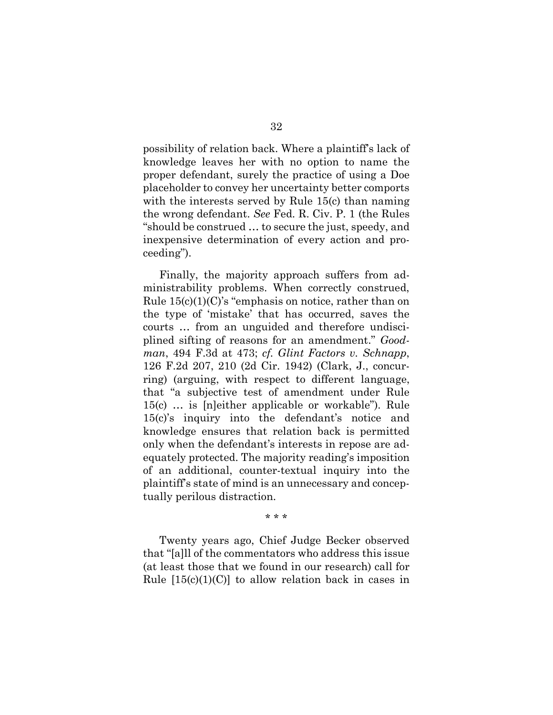possibility of relation back. Where a plaintiff's lack of knowledge leaves her with no option to name the proper defendant, surely the practice of using a Doe placeholder to convey her uncertainty better comports with the interests served by Rule 15(c) than naming the wrong defendant. *See* Fed. R. Civ. P. 1 (the Rules "should be construed … to secure the just, speedy, and inexpensive determination of every action and proceeding").

Finally, the majority approach suffers from administrability problems. When correctly construed, Rule  $15(c)(1)(C)$ 's "emphasis on notice, rather than on the type of 'mistake' that has occurred, saves the courts … from an unguided and therefore undisciplined sifting of reasons for an amendment." *Goodman*, 494 F.3d at 473; *cf. Glint Factors v. Schnapp*, 126 F.2d 207, 210 (2d Cir. 1942) (Clark, J., concurring) (arguing, with respect to different language, that "a subjective test of amendment under Rule 15(c) … is [n]either applicable or workable"). Rule 15(c)'s inquiry into the defendant's notice and knowledge ensures that relation back is permitted only when the defendant's interests in repose are adequately protected. The majority reading's imposition of an additional, counter-textual inquiry into the plaintiff's state of mind is an unnecessary and conceptually perilous distraction.

\* \* \*

Twenty years ago, Chief Judge Becker observed that "[a]ll of the commentators who address this issue (at least those that we found in our research) call for Rule  $[15(c)(1)(C)]$  to allow relation back in cases in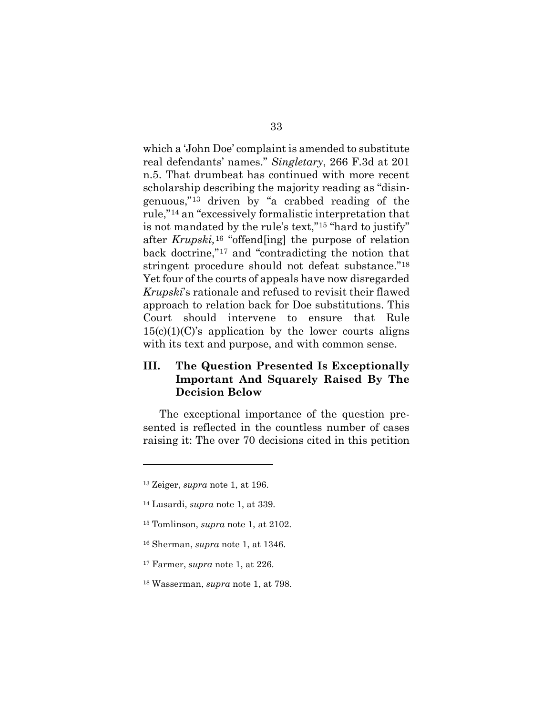which a 'John Doe' complaint is amended to substitute real defendants' names." *Singletary*, 266 F.3d at 201 n.5. That drumbeat has continued with more recent scholarship describing the majority reading as "disingenuous,"[13](#page-47-1) driven by "a crabbed reading of the rule,"[14](#page-47-2) an "excessively formalistic interpretation that is not mandated by the rule's text,"[15](#page-47-3) "hard to justify" after *Krupski,*[16](#page-47-4) "offend[ing] the purpose of relation back doctrine,"[17](#page-47-5) and "contradicting the notion that stringent procedure should not defeat substance."[18](#page-47-6) Yet four of the courts of appeals have now disregarded *Krupski*'s rationale and refused to revisit their flawed approach to relation back for Doe substitutions. This Court should intervene to ensure that Rule  $15(c)(1)(C)$ 's application by the lower courts aligns with its text and purpose, and with common sense.

### <span id="page-47-0"></span>**III. The Question Presented Is Exceptionally Important And Squarely Raised By The Decision Below**

The exceptional importance of the question presented is reflected in the countless number of cases raising it: The over 70 decisions cited in this petition

<span id="page-47-1"></span><sup>13</sup> Zeiger, *supra* note 1, at 196.

<span id="page-47-2"></span><sup>14</sup> Lusardi, *supra* note 1, at 339.

<span id="page-47-3"></span><sup>15</sup> Tomlinson, *supra* note 1, at 2102.

<span id="page-47-4"></span><sup>16</sup> Sherman, *supra* note 1, at 1346.

<span id="page-47-5"></span><sup>17</sup> Farmer, *supra* note 1, at 226.

<span id="page-47-6"></span><sup>18</sup> Wasserman, *supra* note 1, at 798.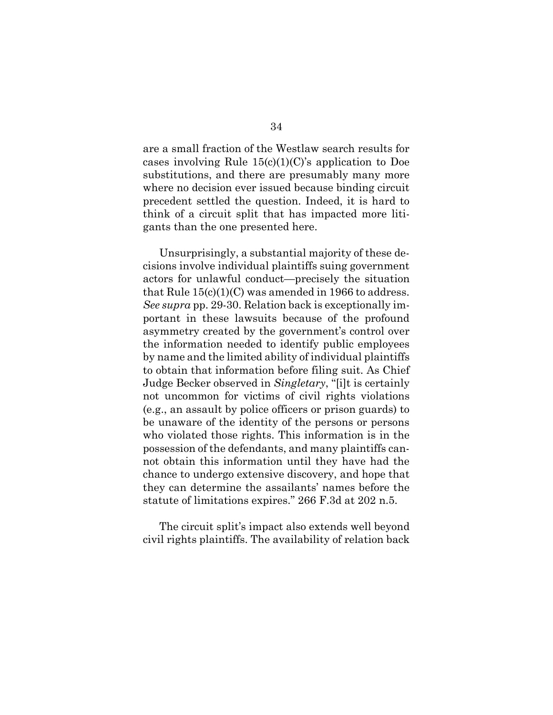are a small fraction of the Westlaw search results for cases involving Rule  $15(c)(1)(C)$ 's application to Doe substitutions, and there are presumably many more where no decision ever issued because binding circuit precedent settled the question. Indeed, it is hard to think of a circuit split that has impacted more litigants than the one presented here.

Unsurprisingly, a substantial majority of these decisions involve individual plaintiffs suing government actors for unlawful conduct—precisely the situation that Rule  $15(c)(1)(C)$  was amended in 1966 to address. *See supra* pp. 29-30. Relation back is exceptionally important in these lawsuits because of the profound asymmetry created by the government's control over the information needed to identify public employees by name and the limited ability of individual plaintiffs to obtain that information before filing suit. As Chief Judge Becker observed in *Singletary*, "[i]t is certainly not uncommon for victims of civil rights violations (e.g., an assault by police officers or prison guards) to be unaware of the identity of the persons or persons who violated those rights. This information is in the possession of the defendants, and many plaintiffs cannot obtain this information until they have had the chance to undergo extensive discovery, and hope that they can determine the assailants' names before the statute of limitations expires." 266 F.3d at 202 n.5.

The circuit split's impact also extends well beyond civil rights plaintiffs. The availability of relation back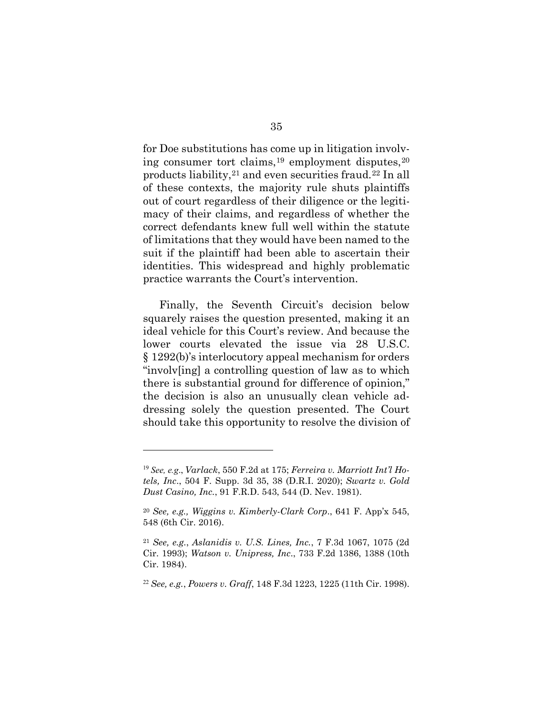for Doe substitutions has come up in litigation involving consumer tort claims, $19$  employment disputes, $20$ products liability,[21](#page-49-2) and even securities fraud.[22](#page-49-3) In all of these contexts, the majority rule shuts plaintiffs out of court regardless of their diligence or the legitimacy of their claims, and regardless of whether the correct defendants knew full well within the statute of limitations that they would have been named to the suit if the plaintiff had been able to ascertain their identities. This widespread and highly problematic practice warrants the Court's intervention.

Finally, the Seventh Circuit's decision below squarely raises the question presented, making it an ideal vehicle for this Court's review. And because the lower courts elevated the issue via 28 U.S.C. § 1292(b)'s interlocutory appeal mechanism for orders "involv[ing] a controlling question of law as to which there is substantial ground for difference of opinion," the decision is also an unusually clean vehicle addressing solely the question presented. The Court should take this opportunity to resolve the division of

<span id="page-49-0"></span><sup>19</sup> *See, e.g*., *Varlack*, 550 F.2d at 175; *Ferreira v. Marriott Int'l Hotels, Inc*., 504 F. Supp. 3d 35, 38 (D.R.I. 2020); *Swartz v. Gold Dust Casino, Inc.*, 91 F.R.D. 543, 544 (D. Nev. 1981).

<span id="page-49-1"></span><sup>20</sup> *See, e.g., Wiggins v. Kimberly-Clark Corp*., 641 F. App'x 545, 548 (6th Cir. 2016).

<span id="page-49-2"></span><sup>21</sup> *See, e.g.*, *Aslanidis v. U.S. Lines, Inc.*, 7 F.3d 1067, 1075 (2d Cir. 1993); *Watson v. Unipress, Inc*., 733 F.2d 1386, 1388 (10th Cir. 1984).

<span id="page-49-3"></span><sup>22</sup> *See, e.g.*, *Powers v. Graff*, 148 F.3d 1223, 1225 (11th Cir. 1998).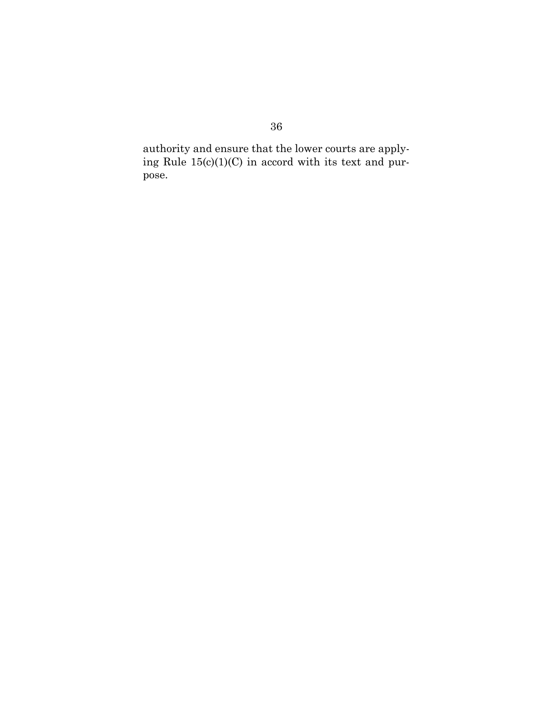authority and ensure that the lower courts are applying Rule  $15(c)(1)(C)$  in accord with its text and purpose.